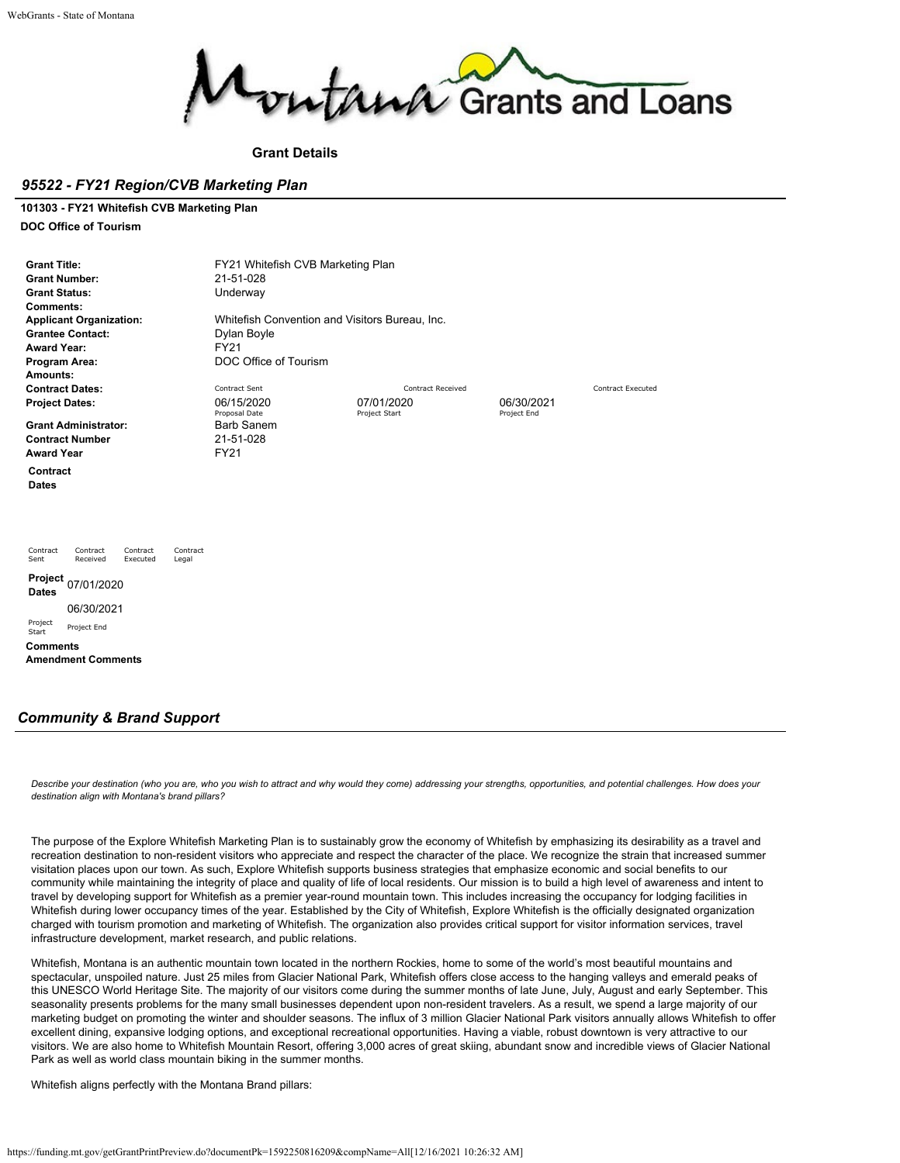

**Grant Details**

## *95522 - FY21 Region/CVB Marketing Plan*

## **101303 - FY21 Whitefish CVB Marketing Plan**

**DOC Office of Tourism**

| <b>Grant Title:</b><br><b>Grant Number:</b><br><b>Grant Status:</b><br>Comments:<br><b>Award Year:</b><br>Program Area:<br>Amounts: | <b>Applicant Organization:</b><br><b>Grantee Contact:</b> |                      |                   | FY21 Whitefish CVB Marketing Plan<br>21-51-028<br>Underway<br>Dylan Boyle<br><b>FY21</b><br>DOC Office of Tourism | Whitefish Convention and Visitors Bureau, Inc. |                           |                          |
|-------------------------------------------------------------------------------------------------------------------------------------|-----------------------------------------------------------|----------------------|-------------------|-------------------------------------------------------------------------------------------------------------------|------------------------------------------------|---------------------------|--------------------------|
|                                                                                                                                     | <b>Contract Dates:</b>                                    |                      |                   | Contract Sent                                                                                                     | <b>Contract Received</b>                       |                           | <b>Contract Executed</b> |
| <b>Project Dates:</b>                                                                                                               |                                                           |                      |                   | 06/15/2020<br>Proposal Date                                                                                       | 07/01/2020<br>Project Start                    | 06/30/2021<br>Project End |                          |
| <b>Award Year</b>                                                                                                                   | <b>Grant Administrator:</b><br><b>Contract Number</b>     |                      |                   | <b>Barb Sanem</b><br>21-51-028<br><b>FY21</b>                                                                     |                                                |                           |                          |
| Contract<br><b>Dates</b>                                                                                                            |                                                           |                      |                   |                                                                                                                   |                                                |                           |                          |
| Contract<br>Sent                                                                                                                    | Contract<br>Received                                      | Contract<br>Executed | Contract<br>Legal |                                                                                                                   |                                                |                           |                          |
| Project<br><b>Dates</b>                                                                                                             | 07/01/2020                                                |                      |                   |                                                                                                                   |                                                |                           |                          |
|                                                                                                                                     | 06/30/2021                                                |                      |                   |                                                                                                                   |                                                |                           |                          |
| Project<br>Start                                                                                                                    | Project End                                               |                      |                   |                                                                                                                   |                                                |                           |                          |
| <b>Comments</b>                                                                                                                     | <b>Amendment Comments</b>                                 |                      |                   |                                                                                                                   |                                                |                           |                          |

## *Community & Brand Support*

*Describe your destination (who you are, who you wish to attract and why would they come) addressing your strengths, opportunities, and potential challenges. How does your destination align with Montana's brand pillars?*

The purpose of the Explore Whitefish Marketing Plan is to sustainably grow the economy of Whitefish by emphasizing its desirability as a travel and recreation destination to non-resident visitors who appreciate and respect the character of the place. We recognize the strain that increased summer visitation places upon our town. As such, Explore Whitefish supports business strategies that emphasize economic and social benefits to our community while maintaining the integrity of place and quality of life of local residents. Our mission is to build a high level of awareness and intent to travel by developing support for Whitefish as a premier year-round mountain town. This includes increasing the occupancy for lodging facilities in Whitefish during lower occupancy times of the year. Established by the City of Whitefish, Explore Whitefish is the officially designated organization charged with tourism promotion and marketing of Whitefish. The organization also provides critical support for visitor information services, travel infrastructure development, market research, and public relations.

Whitefish, Montana is an authentic mountain town located in the northern Rockies, home to some of the world's most beautiful mountains and spectacular, unspoiled nature. Just 25 miles from Glacier National Park, Whitefish offers close access to the hanging valleys and emerald peaks of this UNESCO World Heritage Site. The majority of our visitors come during the summer months of late June, July, August and early September. This seasonality presents problems for the many small businesses dependent upon non-resident travelers. As a result, we spend a large majority of our marketing budget on promoting the winter and shoulder seasons. The influx of 3 million Glacier National Park visitors annually allows Whitefish to offer excellent dining, expansive lodging options, and exceptional recreational opportunities. Having a viable, robust downtown is very attractive to our visitors. We are also home to Whitefish Mountain Resort, offering 3,000 acres of great skiing, abundant snow and incredible views of Glacier National Park as well as world class mountain biking in the summer months.

Whitefish aligns perfectly with the Montana Brand pillars: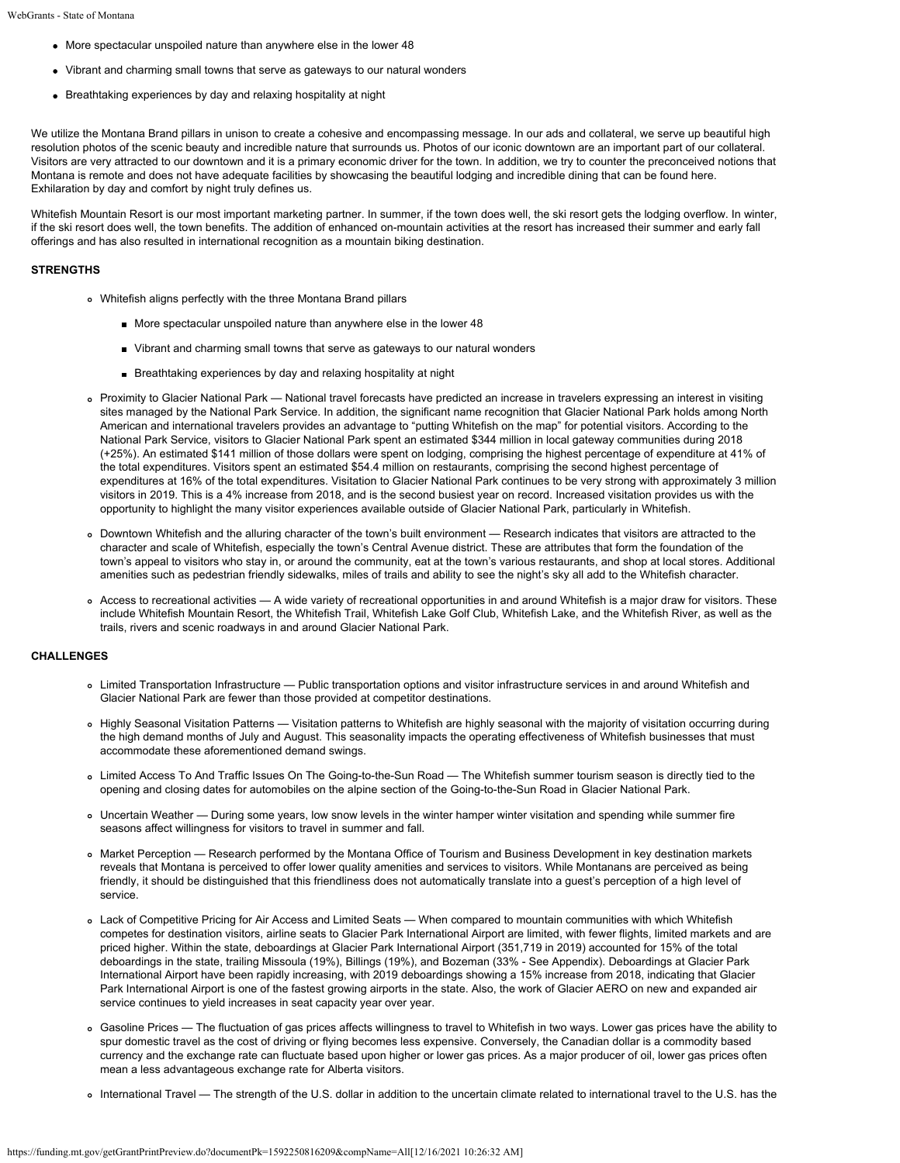- More spectacular unspoiled nature than anywhere else in the lower 48
- Vibrant and charming small towns that serve as gateways to our natural wonders
- Breathtaking experiences by day and relaxing hospitality at night

We utilize the Montana Brand pillars in unison to create a cohesive and encompassing message. In our ads and collateral, we serve up beautiful high resolution photos of the scenic beauty and incredible nature that surrounds us. Photos of our iconic downtown are an important part of our collateral. Visitors are very attracted to our downtown and it is a primary economic driver for the town. In addition, we try to counter the preconceived notions that Montana is remote and does not have adequate facilities by showcasing the beautiful lodging and incredible dining that can be found here. Exhilaration by day and comfort by night truly defines us.

Whitefish Mountain Resort is our most important marketing partner. In summer, if the town does well, the ski resort gets the lodging overflow. In winter, if the ski resort does well, the town benefits. The addition of enhanced on-mountain activities at the resort has increased their summer and early fall offerings and has also resulted in international recognition as a mountain biking destination.

## **STRENGTHS**

- Whitefish aligns perfectly with the three Montana Brand pillars
	- More spectacular unspoiled nature than anywhere else in the lower 48
	- Vibrant and charming small towns that serve as gateways to our natural wonders
	- Breathtaking experiences by day and relaxing hospitality at night
- Proximity to Glacier National Park National travel forecasts have predicted an increase in travelers expressing an interest in visiting sites managed by the National Park Service. In addition, the significant name recognition that Glacier National Park holds among North American and international travelers provides an advantage to "putting Whitefish on the map" for potential visitors. According to the National Park Service, visitors to Glacier National Park spent an estimated \$344 million in local gateway communities during 2018 (+25%). An estimated \$141 million of those dollars were spent on lodging, comprising the highest percentage of expenditure at 41% of the total expenditures. Visitors spent an estimated \$54.4 million on restaurants, comprising the second highest percentage of expenditures at 16% of the total expenditures. Visitation to Glacier National Park continues to be very strong with approximately 3 million visitors in 2019. This is a 4% increase from 2018, and is the second busiest year on record. Increased visitation provides us with the opportunity to highlight the many visitor experiences available outside of Glacier National Park, particularly in Whitefish.
- Downtown Whitefish and the alluring character of the town's built environment Research indicates that visitors are attracted to the character and scale of Whitefish, especially the town's Central Avenue district. These are attributes that form the foundation of the town's appeal to visitors who stay in, or around the community, eat at the town's various restaurants, and shop at local stores. Additional amenities such as pedestrian friendly sidewalks, miles of trails and ability to see the night's sky all add to the Whitefish character.
- Access to recreational activities A wide variety of recreational opportunities in and around Whitefish is a major draw for visitors. These include Whitefish Mountain Resort, the Whitefish Trail, Whitefish Lake Golf Club, Whitefish Lake, and the Whitefish River, as well as the trails, rivers and scenic roadways in and around Glacier National Park.

#### **CHALLENGES**

- Limited Transportation Infrastructure Public transportation options and visitor infrastructure services in and around Whitefish and Glacier National Park are fewer than those provided at competitor destinations.
- Highly Seasonal Visitation Patterns Visitation patterns to Whitefish are highly seasonal with the majority of visitation occurring during the high demand months of July and August. This seasonality impacts the operating effectiveness of Whitefish businesses that must accommodate these aforementioned demand swings.
- Limited Access To And Traffic Issues On The Going-to-the-Sun Road The Whitefish summer tourism season is directly tied to the opening and closing dates for automobiles on the alpine section of the Going-to-the-Sun Road in Glacier National Park.
- Uncertain Weather During some years, low snow levels in the winter hamper winter visitation and spending while summer fire seasons affect willingness for visitors to travel in summer and fall.
- Market Perception Research performed by the Montana Office of Tourism and Business Development in key destination markets reveals that Montana is perceived to offer lower quality amenities and services to visitors. While Montanans are perceived as being friendly, it should be distinguished that this friendliness does not automatically translate into a guest's perception of a high level of service.
- Lack of Competitive Pricing for Air Access and Limited Seats When compared to mountain communities with which Whitefish competes for destination visitors, airline seats to Glacier Park International Airport are limited, with fewer flights, limited markets and are priced higher. Within the state, deboardings at Glacier Park International Airport (351,719 in 2019) accounted for 15% of the total deboardings in the state, trailing Missoula (19%), Billings (19%), and Bozeman (33% - See Appendix). Deboardings at Glacier Park International Airport have been rapidly increasing, with 2019 deboardings showing a 15% increase from 2018, indicating that Glacier Park International Airport is one of the fastest growing airports in the state. Also, the work of Glacier AERO on new and expanded air service continues to yield increases in seat capacity year over year.
- Gasoline Prices The fluctuation of gas prices affects willingness to travel to Whitefish in two ways. Lower gas prices have the ability to spur domestic travel as the cost of driving or flying becomes less expensive. Conversely, the Canadian dollar is a commodity based currency and the exchange rate can fluctuate based upon higher or lower gas prices. As a major producer of oil, lower gas prices often mean a less advantageous exchange rate for Alberta visitors.
- o International Travel The strength of the U.S. dollar in addition to the uncertain climate related to international travel to the U.S. has the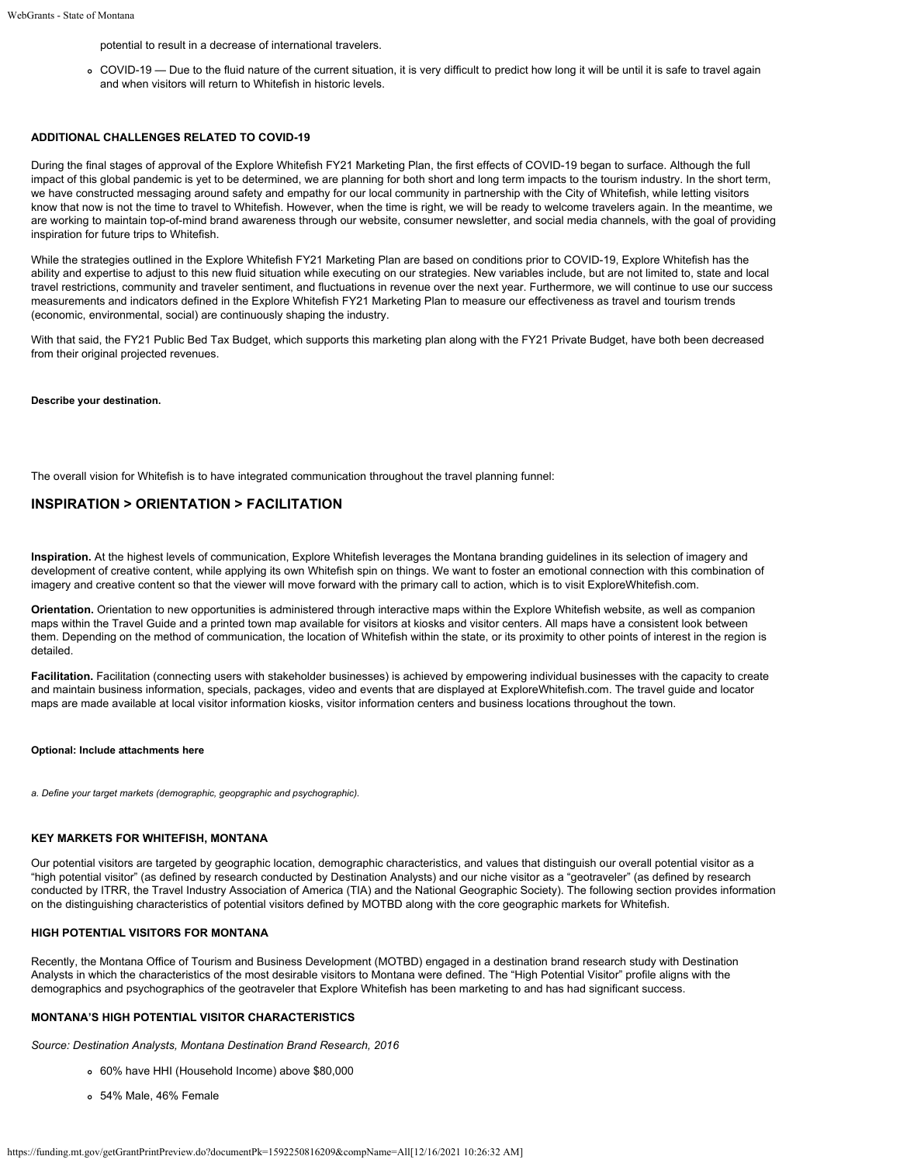potential to result in a decrease of international travelers.

COVID-19 — Due to the fluid nature of the current situation, it is very difficult to predict how long it will be until it is safe to travel again and when visitors will return to Whitefish in historic levels.

## **ADDITIONAL CHALLENGES RELATED TO COVID-19**

During the final stages of approval of the Explore Whitefish FY21 Marketing Plan, the first effects of COVID-19 began to surface. Although the full impact of this global pandemic is yet to be determined, we are planning for both short and long term impacts to the tourism industry. In the short term, we have constructed messaging around safety and empathy for our local community in partnership with the City of Whitefish, while letting visitors know that now is not the time to travel to Whitefish. However, when the time is right, we will be ready to welcome travelers again. In the meantime, we are working to maintain top-of-mind brand awareness through our website, consumer newsletter, and social media channels, with the goal of providing inspiration for future trips to Whitefish.

While the strategies outlined in the Explore Whitefish FY21 Marketing Plan are based on conditions prior to COVID-19, Explore Whitefish has the ability and expertise to adjust to this new fluid situation while executing on our strategies. New variables include, but are not limited to, state and local travel restrictions, community and traveler sentiment, and fluctuations in revenue over the next year. Furthermore, we will continue to use our success measurements and indicators defined in the Explore Whitefish FY21 Marketing Plan to measure our effectiveness as travel and tourism trends (economic, environmental, social) are continuously shaping the industry.

With that said, the FY21 Public Bed Tax Budget, which supports this marketing plan along with the FY21 Private Budget, have both been decreased from their original projected revenues.

#### **Describe your destination.**

The overall vision for Whitefish is to have integrated communication throughout the travel planning funnel:

## **INSPIRATION > ORIENTATION > FACILITATION**

**Inspiration.** At the highest levels of communication, Explore Whitefish leverages the Montana branding guidelines in its selection of imagery and development of creative content, while applying its own Whitefish spin on things. We want to foster an emotional connection with this combination of imagery and creative content so that the viewer will move forward with the primary call to action, which is to visit ExploreWhitefish.com.

**Orientation.** Orientation to new opportunities is administered through interactive maps within the Explore Whitefish website, as well as companion maps within the Travel Guide and a printed town map available for visitors at kiosks and visitor centers. All maps have a consistent look between them. Depending on the method of communication, the location of Whitefish within the state, or its proximity to other points of interest in the region is detailed.

**Facilitation.** Facilitation (connecting users with stakeholder businesses) is achieved by empowering individual businesses with the capacity to create and maintain business information, specials, packages, video and events that are displayed at ExploreWhitefish.com. The travel guide and locator maps are made available at local visitor information kiosks, visitor information centers and business locations throughout the town.

#### **Optional: Include attachments here**

*a. Define your target markets (demographic, geopgraphic and psychographic).*

## **KEY MARKETS FOR WHITEFISH, MONTANA**

Our potential visitors are targeted by geographic location, demographic characteristics, and values that distinguish our overall potential visitor as a "high potential visitor" (as defined by research conducted by Destination Analysts) and our niche visitor as a "geotraveler" (as defined by research conducted by ITRR, the Travel Industry Association of America (TIA) and the National Geographic Society). The following section provides information on the distinguishing characteristics of potential visitors defined by MOTBD along with the core geographic markets for Whitefish.

#### **HIGH POTENTIAL VISITORS FOR MONTANA**

Recently, the Montana Office of Tourism and Business Development (MOTBD) engaged in a destination brand research study with Destination Analysts in which the characteristics of the most desirable visitors to Montana were defined. The "High Potential Visitor" profile aligns with the demographics and psychographics of the geotraveler that Explore Whitefish has been marketing to and has had significant success.

## **MONTANA'S HIGH POTENTIAL VISITOR CHARACTERISTICS**

*Source: Destination Analysts, Montana Destination Brand Research, 2016*

- 60% have HHI (Household Income) above \$80,000
- 54% Male, 46% Female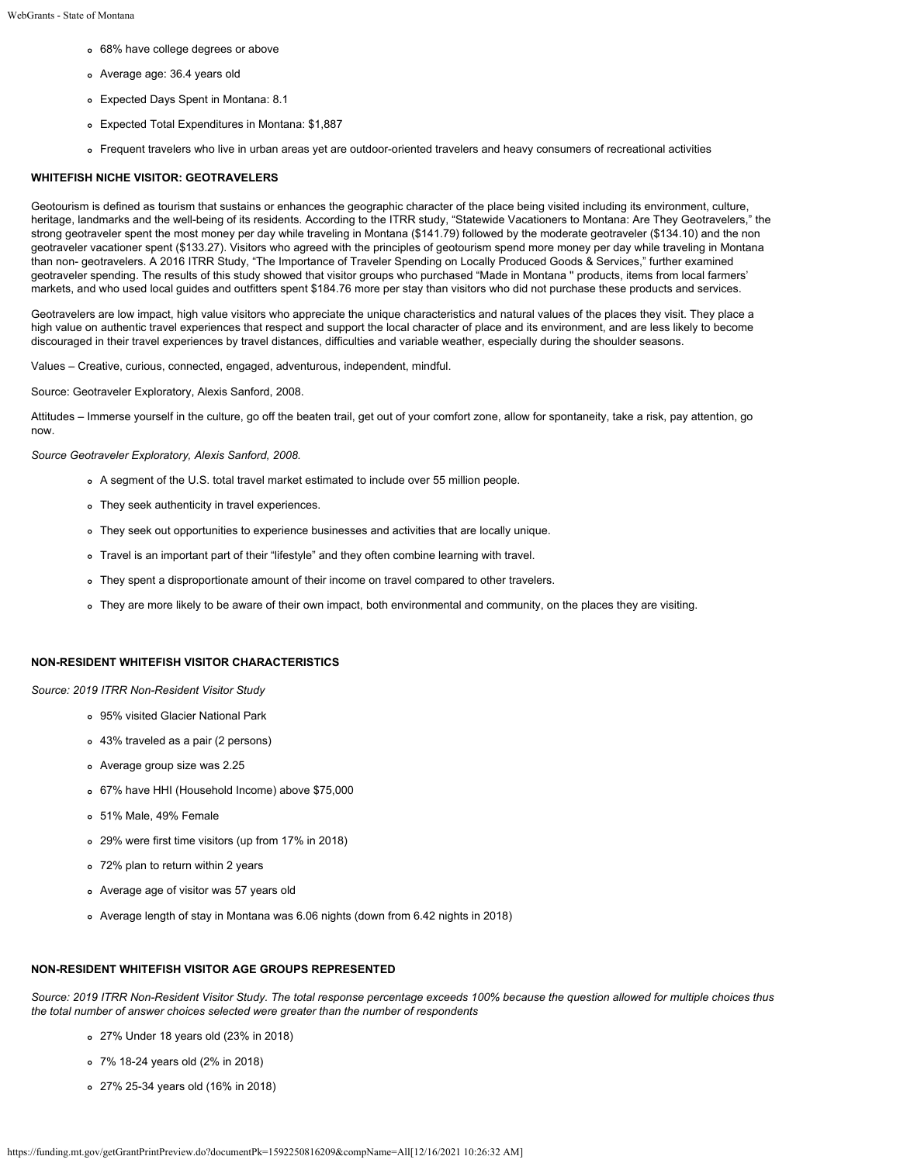- 68% have college degrees or above
- Average age: 36.4 years old
- Expected Days Spent in Montana: 8.1
- Expected Total Expenditures in Montana: \$1,887
- Frequent travelers who live in urban areas yet are outdoor-oriented travelers and heavy consumers of recreational activities

#### **WHITEFISH NICHE VISITOR: GEOTRAVELERS**

Geotourism is defined as tourism that sustains or enhances the geographic character of the place being visited including its environment, culture, heritage, landmarks and the well-being of its residents. According to the ITRR study, "Statewide Vacationers to Montana: Are They Geotravelers," the strong geotraveler spent the most money per day while traveling in Montana (\$141.79) followed by the moderate geotraveler (\$134.10) and the non geotraveler vacationer spent (\$133.27). Visitors who agreed with the principles of geotourism spend more money per day while traveling in Montana than non- geotravelers. A 2016 ITRR Study, "The Importance of Traveler Spending on Locally Produced Goods & Services," further examined geotraveler spending. The results of this study showed that visitor groups who purchased "Made in Montana '' products, items from local farmers' markets, and who used local guides and outfitters spent \$184.76 more per stay than visitors who did not purchase these products and services.

Geotravelers are low impact, high value visitors who appreciate the unique characteristics and natural values of the places they visit. They place a high value on authentic travel experiences that respect and support the local character of place and its environment, and are less likely to become discouraged in their travel experiences by travel distances, difficulties and variable weather, especially during the shoulder seasons.

Values – Creative, curious, connected, engaged, adventurous, independent, mindful.

Source: Geotraveler Exploratory, Alexis Sanford, 2008.

Attitudes – Immerse yourself in the culture, go off the beaten trail, get out of your comfort zone, allow for spontaneity, take a risk, pay attention, go now.

*Source Geotraveler Exploratory, Alexis Sanford, 2008.*

- A segment of the U.S. total travel market estimated to include over 55 million people.
- They seek authenticity in travel experiences.
- They seek out opportunities to experience businesses and activities that are locally unique.
- Travel is an important part of their "lifestyle" and they often combine learning with travel.
- They spent a disproportionate amount of their income on travel compared to other travelers.
- They are more likely to be aware of their own impact, both environmental and community, on the places they are visiting.

#### **NON-RESIDENT WHITEFISH VISITOR CHARACTERISTICS**

*Source: 2019 ITRR Non-Resident Visitor Study*

- 95% visited Glacier National Park
- 43% traveled as a pair (2 persons)
- Average group size was 2.25
- 67% have HHI (Household Income) above \$75,000
- 51% Male, 49% Female
- 29% were first time visitors (up from 17% in 2018)
- 72% plan to return within 2 years
- Average age of visitor was 57 years old
- Average length of stay in Montana was 6.06 nights (down from 6.42 nights in 2018)

## **NON-RESIDENT WHITEFISH VISITOR AGE GROUPS REPRESENTED**

*Source: 2019 ITRR Non-Resident Visitor Study. The total response percentage exceeds 100% because the question allowed for multiple choices thus the total number of answer choices selected were greater than the number of respondents*

- 27% Under 18 years old (23% in 2018)
- 7% 18-24 years old (2% in 2018)
- 27% 25-34 years old (16% in 2018)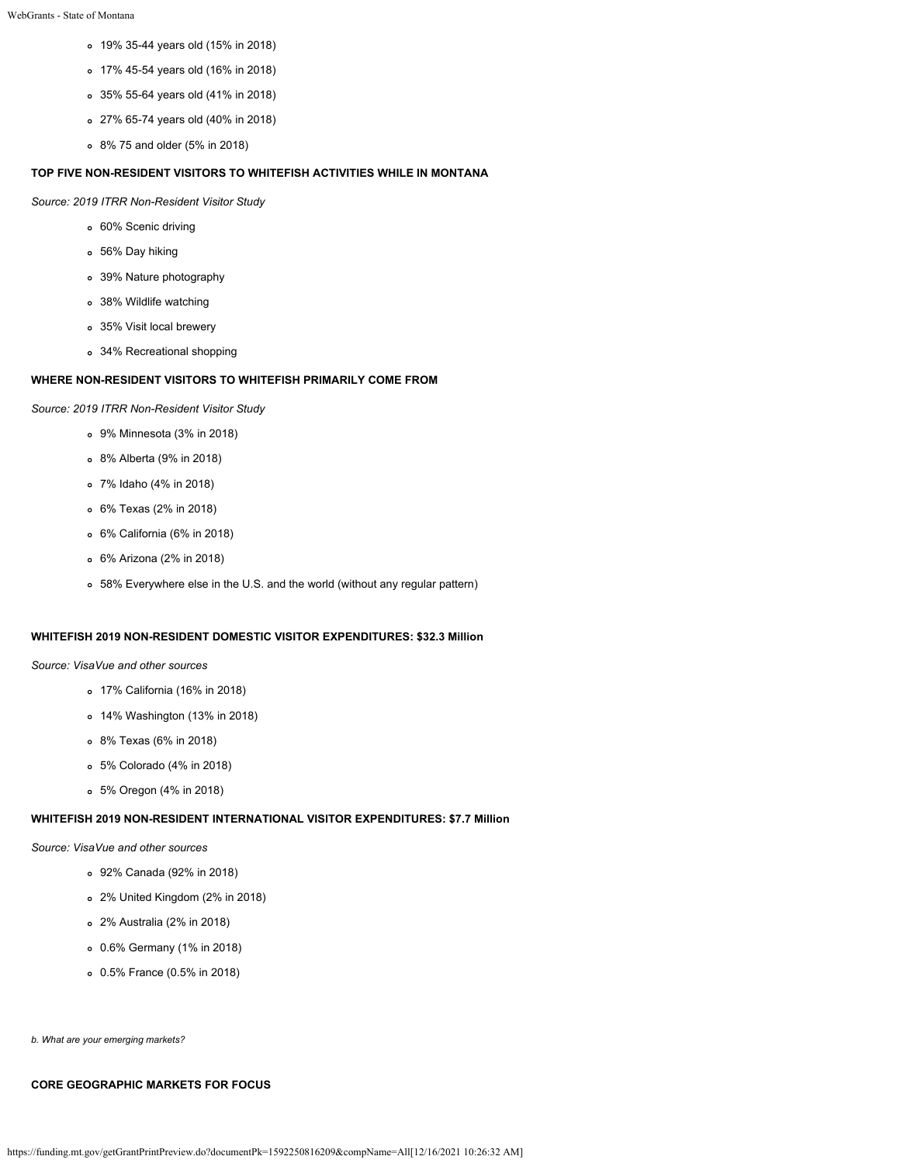- 19% 35-44 years old (15% in 2018)
- 17% 45-54 years old (16% in 2018)
- 35% 55-64 years old (41% in 2018)
- 27% 65-74 years old (40% in 2018)
- 8% 75 and older (5% in 2018)

## **TOP FIVE NON-RESIDENT VISITORS TO WHITEFISH ACTIVITIES WHILE IN MONTANA**

*Source: 2019 ITRR Non-Resident Visitor Study*

- 60% Scenic driving
- 56% Day hiking
- 39% Nature photography
- 38% Wildlife watching
- 35% Visit local brewery
- 34% Recreational shopping

## **WHERE NON-RESIDENT VISITORS TO WHITEFISH PRIMARILY COME FROM**

*Source: 2019 ITRR Non-Resident Visitor Study*

- 9% Minnesota (3% in 2018)
- 8% Alberta (9% in 2018)
- 7% Idaho (4% in 2018)
- 6% Texas (2% in 2018)
- 6% California (6% in 2018)
- 6% Arizona (2% in 2018)
- 58% Everywhere else in the U.S. and the world (without any regular pattern)

## **WHITEFISH 2019 NON-RESIDENT DOMESTIC VISITOR EXPENDITURES: \$32.3 Million**

*Source: VisaVue and other sources*

- 17% California (16% in 2018)
- 14% Washington (13% in 2018)
- 8% Texas (6% in 2018)
- 5% Colorado (4% in 2018)
- 5% Oregon (4% in 2018)

## **WHITEFISH 2019 NON-RESIDENT INTERNATIONAL VISITOR EXPENDITURES: \$7.7 Million**

## *Source: VisaVue and other sources*

- 92% Canada (92% in 2018)
- 2% United Kingdom (2% in 2018)
- 2% Australia (2% in 2018)
- 0.6% Germany (1% in 2018)
- 0.5% France (0.5% in 2018)

*b. What are your emerging markets?*

## **CORE GEOGRAPHIC MARKETS FOR FOCUS**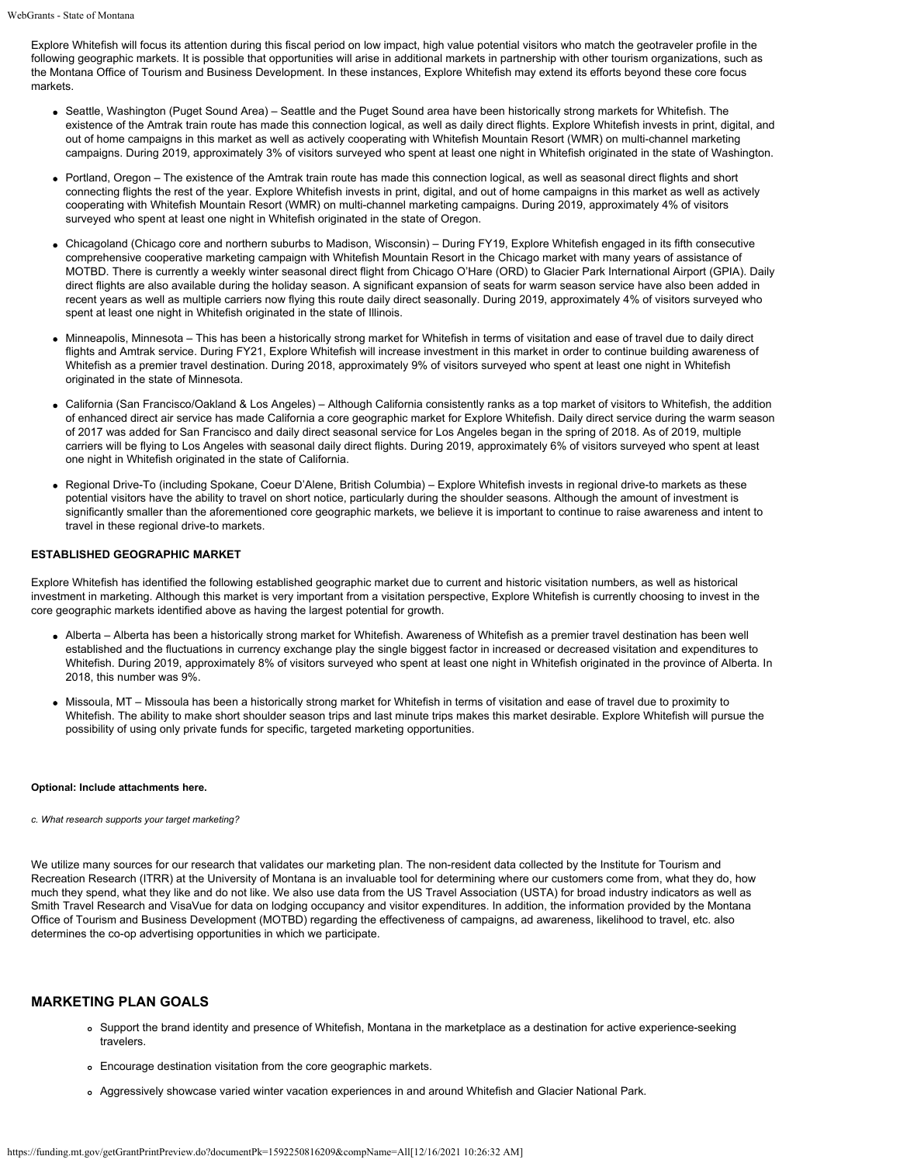Explore Whitefish will focus its attention during this fiscal period on low impact, high value potential visitors who match the geotraveler profile in the following geographic markets. It is possible that opportunities will arise in additional markets in partnership with other tourism organizations, such as the Montana Office of Tourism and Business Development. In these instances, Explore Whitefish may extend its efforts beyond these core focus markets.

- Seattle, Washington (Puget Sound Area) Seattle and the Puget Sound area have been historically strong markets for Whitefish. The existence of the Amtrak train route has made this connection logical, as well as daily direct flights. Explore Whitefish invests in print, digital, and out of home campaigns in this market as well as actively cooperating with Whitefish Mountain Resort (WMR) on multi-channel marketing campaigns. During 2019, approximately 3% of visitors surveyed who spent at least one night in Whitefish originated in the state of Washington.
- Portland, Oregon The existence of the Amtrak train route has made this connection logical, as well as seasonal direct flights and short connecting flights the rest of the year. Explore Whitefish invests in print, digital, and out of home campaigns in this market as well as actively cooperating with Whitefish Mountain Resort (WMR) on multi-channel marketing campaigns. During 2019, approximately 4% of visitors surveyed who spent at least one night in Whitefish originated in the state of Oregon.
- Chicagoland (Chicago core and northern suburbs to Madison, Wisconsin) During FY19, Explore Whitefish engaged in its fifth consecutive comprehensive cooperative marketing campaign with Whitefish Mountain Resort in the Chicago market with many years of assistance of MOTBD. There is currently a weekly winter seasonal direct flight from Chicago O'Hare (ORD) to Glacier Park International Airport (GPIA). Daily direct flights are also available during the holiday season. A significant expansion of seats for warm season service have also been added in recent years as well as multiple carriers now flying this route daily direct seasonally. During 2019, approximately 4% of visitors surveyed who spent at least one night in Whitefish originated in the state of Illinois.
- Minneapolis, Minnesota This has been a historically strong market for Whitefish in terms of visitation and ease of travel due to daily direct flights and Amtrak service. During FY21, Explore Whitefish will increase investment in this market in order to continue building awareness of Whitefish as a premier travel destination. During 2018, approximately 9% of visitors surveyed who spent at least one night in Whitefish originated in the state of Minnesota.
- California (San Francisco/Oakland & Los Angeles) Although California consistently ranks as a top market of visitors to Whitefish, the addition of enhanced direct air service has made California a core geographic market for Explore Whitefish. Daily direct service during the warm season of 2017 was added for San Francisco and daily direct seasonal service for Los Angeles began in the spring of 2018. As of 2019, multiple carriers will be flying to Los Angeles with seasonal daily direct flights. During 2019, approximately 6% of visitors surveyed who spent at least one night in Whitefish originated in the state of California.
- Regional Drive-To (including Spokane, Coeur D'Alene, British Columbia) Explore Whitefish invests in regional drive-to markets as these potential visitors have the ability to travel on short notice, particularly during the shoulder seasons. Although the amount of investment is significantly smaller than the aforementioned core geographic markets, we believe it is important to continue to raise awareness and intent to travel in these regional drive-to markets.

#### **ESTABLISHED GEOGRAPHIC MARKET**

Explore Whitefish has identified the following established geographic market due to current and historic visitation numbers, as well as historical investment in marketing. Although this market is very important from a visitation perspective, Explore Whitefish is currently choosing to invest in the core geographic markets identified above as having the largest potential for growth.

- Alberta Alberta has been a historically strong market for Whitefish. Awareness of Whitefish as a premier travel destination has been well established and the fluctuations in currency exchange play the single biggest factor in increased or decreased visitation and expenditures to Whitefish. During 2019, approximately 8% of visitors surveyed who spent at least one night in Whitefish originated in the province of Alberta. In 2018, this number was 9%.
- Missoula, MT Missoula has been a historically strong market for Whitefish in terms of visitation and ease of travel due to proximity to Whitefish. The ability to make short shoulder season trips and last minute trips makes this market desirable. Explore Whitefish will pursue the possibility of using only private funds for specific, targeted marketing opportunities.

#### **Optional: Include attachments here.**

*c. What research supports your target marketing?*

We utilize many sources for our research that validates our marketing plan. The non-resident data collected by the Institute for Tourism and Recreation Research (ITRR) at the University of Montana is an invaluable tool for determining where our customers come from, what they do, how much they spend, what they like and do not like. We also use data from the US Travel Association (USTA) for broad industry indicators as well as Smith Travel Research and VisaVue for data on lodging occupancy and visitor expenditures. In addition, the information provided by the Montana Office of Tourism and Business Development (MOTBD) regarding the effectiveness of campaigns, ad awareness, likelihood to travel, etc. also determines the co-op advertising opportunities in which we participate.

## **MARKETING PLAN GOALS**

- Support the brand identity and presence of Whitefish, Montana in the marketplace as a destination for active experience-seeking travelers.
- Encourage destination visitation from the core geographic markets.
- Aggressively showcase varied winter vacation experiences in and around Whitefish and Glacier National Park.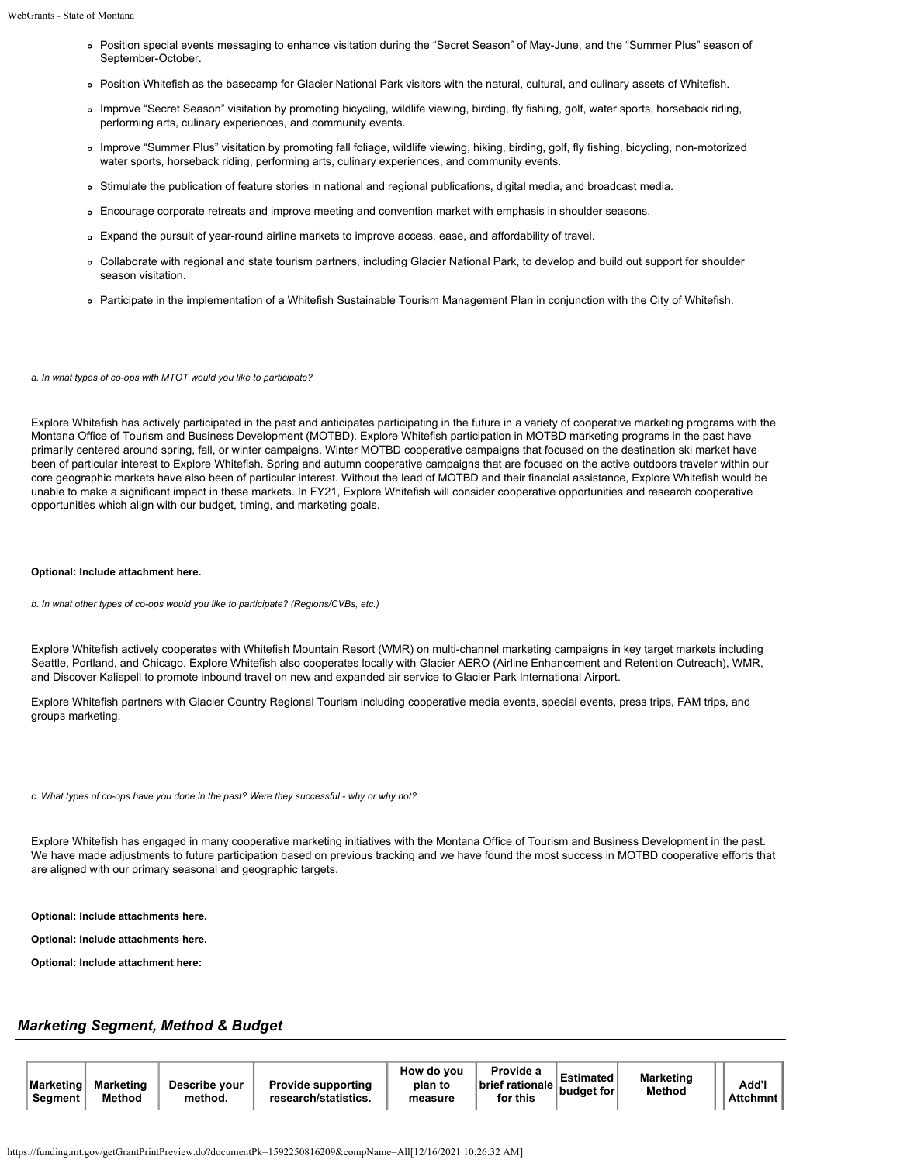- Position special events messaging to enhance visitation during the "Secret Season" of May-June, and the "Summer Plus" season of September-October.
- Position Whitefish as the basecamp for Glacier National Park visitors with the natural, cultural, and culinary assets of Whitefish.
- Improve "Secret Season" visitation by promoting bicycling, wildlife viewing, birding, fly fishing, golf, water sports, horseback riding, performing arts, culinary experiences, and community events.
- Improve "Summer Plus" visitation by promoting fall foliage, wildlife viewing, hiking, birding, golf, fly fishing, bicycling, non-motorized water sports, horseback riding, performing arts, culinary experiences, and community events.
- Stimulate the publication of feature stories in national and regional publications, digital media, and broadcast media.
- Encourage corporate retreats and improve meeting and convention market with emphasis in shoulder seasons.
- Expand the pursuit of year-round airline markets to improve access, ease, and affordability of travel.
- Collaborate with regional and state tourism partners, including Glacier National Park, to develop and build out support for shoulder season visitation.
- Participate in the implementation of a Whitefish Sustainable Tourism Management Plan in conjunction with the City of Whitefish.

*a. In what types of co-ops with MTOT would you like to participate?*

Explore Whitefish has actively participated in the past and anticipates participating in the future in a variety of cooperative marketing programs with the Montana Office of Tourism and Business Development (MOTBD). Explore Whitefish participation in MOTBD marketing programs in the past have primarily centered around spring, fall, or winter campaigns. Winter MOTBD cooperative campaigns that focused on the destination ski market have been of particular interest to Explore Whitefish. Spring and autumn cooperative campaigns that are focused on the active outdoors traveler within our core geographic markets have also been of particular interest. Without the lead of MOTBD and their financial assistance, Explore Whitefish would be unable to make a significant impact in these markets. In FY21, Explore Whitefish will consider cooperative opportunities and research cooperative opportunities which align with our budget, timing, and marketing goals.

#### **Optional: Include attachment here.**

*b. In what other types of co-ops would you like to participate? (Regions/CVBs, etc.)*

Explore Whitefish actively cooperates with Whitefish Mountain Resort (WMR) on multi-channel marketing campaigns in key target markets including Seattle, Portland, and Chicago. Explore Whitefish also cooperates locally with Glacier AERO (Airline Enhancement and Retention Outreach), WMR, and Discover Kalispell to promote inbound travel on new and expanded air service to Glacier Park International Airport.

Explore Whitefish partners with Glacier Country Regional Tourism including cooperative media events, special events, press trips, FAM trips, and groups marketing.

*c. What types of co-ops have you done in the past? Were they successful - why or why not?*

Explore Whitefish has engaged in many cooperative marketing initiatives with the Montana Office of Tourism and Business Development in the past. We have made adjustments to future participation based on previous tracking and we have found the most success in MOTBD cooperative efforts that are aligned with our primary seasonal and geographic targets.

**Optional: Include attachments here.**

**Optional: Include attachments here.**

**Optional: Include attachment here:**

# *Marketing Segment, Method & Budget*

| ∣Marketinɑ l<br>Segment | Marketing<br>Method | Describe vour<br>method. | <b>Provide supporting</b><br>research/statistics. | How do vou<br>plan to<br>measure | Provide a<br><b>brief rationale</b><br>for this | <b>Estimated</b><br>budget for | <b>Marketing</b><br><b>Method</b> | Add'l<br><b>Attchmnt</b> |
|-------------------------|---------------------|--------------------------|---------------------------------------------------|----------------------------------|-------------------------------------------------|--------------------------------|-----------------------------------|--------------------------|
|-------------------------|---------------------|--------------------------|---------------------------------------------------|----------------------------------|-------------------------------------------------|--------------------------------|-----------------------------------|--------------------------|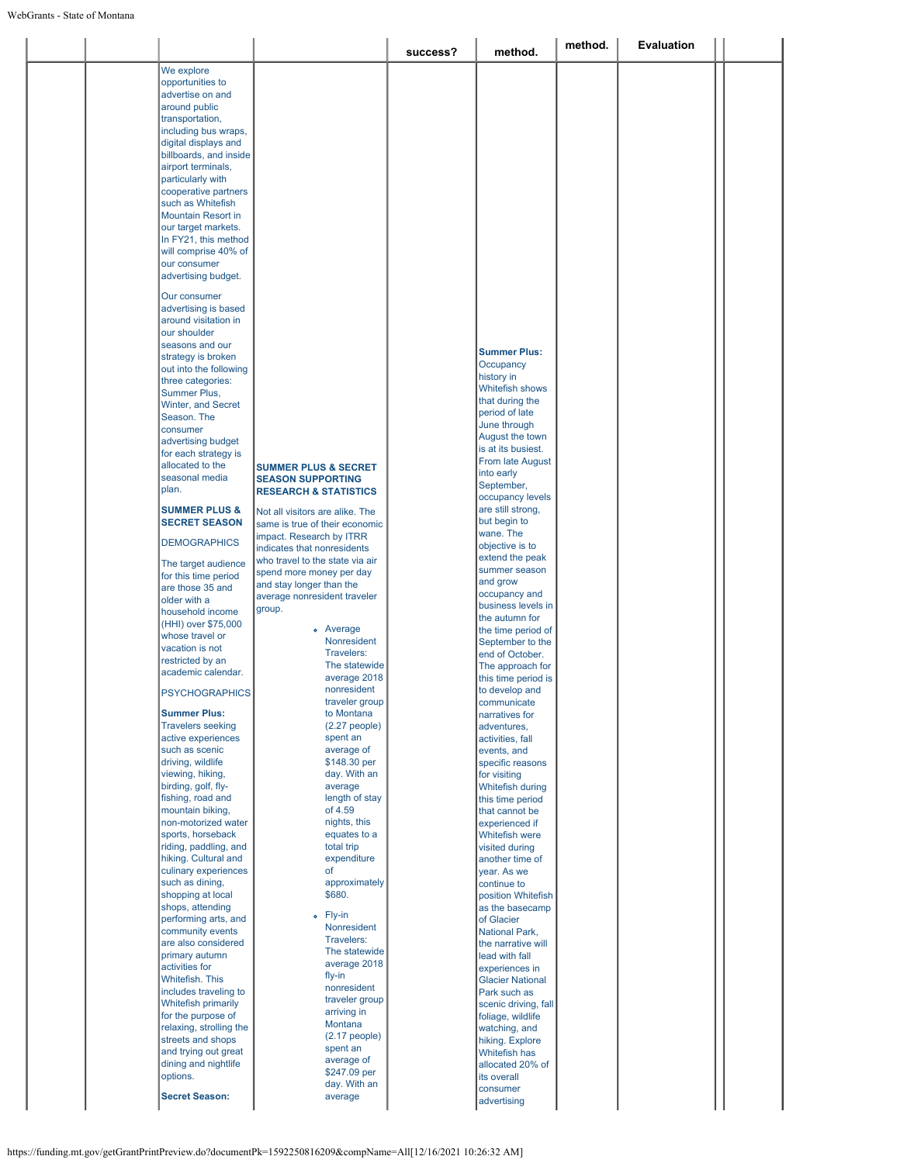|                           |                                  | success? | method.                 | method. | <b>Evaluation</b> |  |
|---------------------------|----------------------------------|----------|-------------------------|---------|-------------------|--|
| We explore                |                                  |          |                         |         |                   |  |
| opportunities to          |                                  |          |                         |         |                   |  |
| advertise on and          |                                  |          |                         |         |                   |  |
| around public             |                                  |          |                         |         |                   |  |
| transportation,           |                                  |          |                         |         |                   |  |
| including bus wraps,      |                                  |          |                         |         |                   |  |
|                           |                                  |          |                         |         |                   |  |
| digital displays and      |                                  |          |                         |         |                   |  |
| billboards, and inside    |                                  |          |                         |         |                   |  |
| airport terminals,        |                                  |          |                         |         |                   |  |
| particularly with         |                                  |          |                         |         |                   |  |
| cooperative partners      |                                  |          |                         |         |                   |  |
| such as Whitefish         |                                  |          |                         |         |                   |  |
| <b>Mountain Resort in</b> |                                  |          |                         |         |                   |  |
| our target markets.       |                                  |          |                         |         |                   |  |
| In FY21, this method      |                                  |          |                         |         |                   |  |
| will comprise 40% of      |                                  |          |                         |         |                   |  |
| our consumer              |                                  |          |                         |         |                   |  |
| advertising budget.       |                                  |          |                         |         |                   |  |
|                           |                                  |          |                         |         |                   |  |
| Our consumer              |                                  |          |                         |         |                   |  |
| advertising is based      |                                  |          |                         |         |                   |  |
| around visitation in      |                                  |          |                         |         |                   |  |
| our shoulder              |                                  |          |                         |         |                   |  |
| seasons and our           |                                  |          | <b>Summer Plus:</b>     |         |                   |  |
| strategy is broken        |                                  |          |                         |         |                   |  |
| out into the following    |                                  |          | Occupancy               |         |                   |  |
| three categories:         |                                  |          | history in              |         |                   |  |
| Summer Plus,              |                                  |          | <b>Whitefish shows</b>  |         |                   |  |
| Winter, and Secret        |                                  |          | that during the         |         |                   |  |
| Season. The               |                                  |          | period of late          |         |                   |  |
| consumer                  |                                  |          | June through            |         |                   |  |
| advertising budget        |                                  |          | August the town         |         |                   |  |
| for each strategy is      |                                  |          | is at its busiest.      |         |                   |  |
| allocated to the          | <b>SUMMER PLUS &amp; SECRET</b>  |          | From late August        |         |                   |  |
| seasonal media            |                                  |          | into early              |         |                   |  |
| plan.                     | <b>SEASON SUPPORTING</b>         |          | September,              |         |                   |  |
|                           | <b>RESEARCH &amp; STATISTICS</b> |          | occupancy levels        |         |                   |  |
| <b>SUMMER PLUS &amp;</b>  | Not all visitors are alike. The  |          | are still strong,       |         |                   |  |
| <b>SECRET SEASON</b>      | same is true of their economic   |          | but begin to            |         |                   |  |
|                           |                                  |          | wane. The               |         |                   |  |
| <b>DEMOGRAPHICS</b>       | impact. Research by ITRR         |          | objective is to         |         |                   |  |
|                           | indicates that nonresidents      |          | extend the peak         |         |                   |  |
| The target audience       | who travel to the state via air  |          | summer season           |         |                   |  |
| for this time period      | spend more money per day         |          |                         |         |                   |  |
| are those 35 and          | and stay longer than the         |          | and grow                |         |                   |  |
| older with a              | average nonresident traveler     |          | occupancy and           |         |                   |  |
| household income          | group.                           |          | business levels in      |         |                   |  |
| (HHI) over \$75,000       |                                  |          | the autumn for          |         |                   |  |
| whose travel or           | · Average                        |          | the time period of      |         |                   |  |
| vacation is not           | Nonresident                      |          | September to the        |         |                   |  |
| restricted by an          | Travelers:                       |          | end of October.         |         |                   |  |
| academic calendar.        | The statewide                    |          | The approach for        |         |                   |  |
|                           | average 2018                     |          | this time period is     |         |                   |  |
| <b>PSYCHOGRAPHICS</b>     | nonresident                      |          | to develop and          |         |                   |  |
|                           | traveler group                   |          | communicate             |         |                   |  |
| <b>Summer Plus:</b>       | to Montana                       |          | narratives for          |         |                   |  |
| <b>Travelers seeking</b>  | $(2.27$ people)                  |          | adventures,             |         |                   |  |
| active experiences        | spent an                         |          | activities, fall        |         |                   |  |
| such as scenic            | average of                       |          | events, and             |         |                   |  |
| driving, wildlife         | \$148.30 per                     |          | specific reasons        |         |                   |  |
| viewing, hiking,          | day. With an                     |          | for visiting            |         |                   |  |
| birding, golf, fly-       | average                          |          | Whitefish during        |         |                   |  |
| fishing, road and         | length of stay                   |          | this time period        |         |                   |  |
| mountain biking,          | of 4.59                          |          |                         |         |                   |  |
|                           |                                  |          | that cannot be          |         |                   |  |
| non-motorized water       | nights, this                     |          | experienced if          |         |                   |  |
| sports, horseback         | equates to a                     |          | <b>Whitefish were</b>   |         |                   |  |
| riding, paddling, and     | total trip                       |          | visited during          |         |                   |  |
| hiking. Cultural and      | expenditure                      |          | another time of         |         |                   |  |
| culinary experiences      | of                               |          | year. As we             |         |                   |  |
| such as dining,           | approximately                    |          | continue to             |         |                   |  |
| shopping at local         | \$680.                           |          | position Whitefish      |         |                   |  |
| shops, attending          |                                  |          | as the basecamp         |         |                   |  |
| performing arts, and      | o Fly-in                         |          | of Glacier              |         |                   |  |
| community events          | Nonresident                      |          | National Park,          |         |                   |  |
| are also considered       | Travelers:                       |          | the narrative will      |         |                   |  |
| primary autumn            | The statewide                    |          | lead with fall          |         |                   |  |
| activities for            | average 2018                     |          | experiences in          |         |                   |  |
| Whitefish. This           | fly-in                           |          |                         |         |                   |  |
|                           | nonresident                      |          | <b>Glacier National</b> |         |                   |  |
| includes traveling to     | traveler group                   |          | Park such as            |         |                   |  |
| Whitefish primarily       | arriving in                      |          | scenic driving, fall    |         |                   |  |
| for the purpose of        | Montana                          |          | foliage, wildlife       |         |                   |  |
|                           |                                  |          | watching, and           |         |                   |  |
| relaxing, strolling the   |                                  |          |                         |         |                   |  |
| streets and shops         | $(2.17$ people)                  |          | hiking. Explore         |         |                   |  |
| and trying out great      | spent an                         |          | <b>Whitefish has</b>    |         |                   |  |
|                           | average of                       |          |                         |         |                   |  |
| dining and nightlife      | \$247.09 per                     |          | allocated 20% of        |         |                   |  |
| options.                  | day. With an                     |          | its overall<br>consumer |         |                   |  |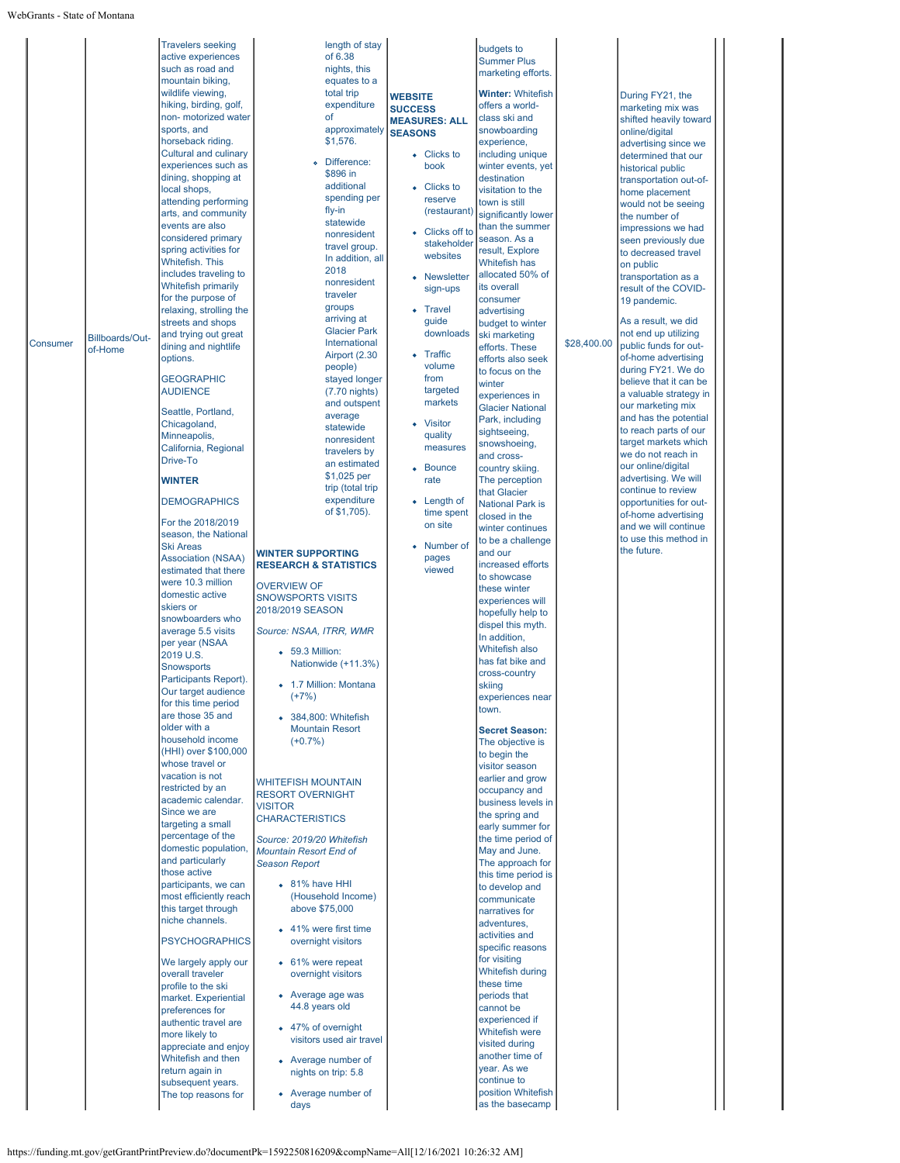|          |                 | <b>Travelers seeking</b>                  | length of stay                   |                      | budgets to                              |             |                                             |  |
|----------|-----------------|-------------------------------------------|----------------------------------|----------------------|-----------------------------------------|-------------|---------------------------------------------|--|
|          |                 | active experiences                        | of 6.38                          |                      | <b>Summer Plus</b>                      |             |                                             |  |
|          |                 | such as road and                          | nights, this                     |                      | marketing efforts.                      |             |                                             |  |
|          |                 | mountain biking,                          | equates to a                     |                      |                                         |             |                                             |  |
|          |                 | wildlife viewing,                         | total trip                       | <b>WEBSITE</b>       | <b>Winter: Whitefish</b>                |             | During FY21, the                            |  |
|          |                 | hiking, birding, golf,                    | expenditure                      | <b>SUCCESS</b>       | offers a world-                         |             | marketing mix was                           |  |
|          |                 | non- motorized water<br>sports, and       | of<br>approximately              | <b>MEASURES: ALL</b> | class ski and                           |             | shifted heavily toward                      |  |
|          |                 | horseback riding.                         | \$1,576.                         | <b>SEASONS</b>       | snowboarding<br>experience,             |             | online/digital                              |  |
|          |                 | <b>Cultural and culinary</b>              |                                  | • Clicks to          | including unique                        |             | advertising since we                        |  |
|          |                 | experiences such as                       | Difference:                      | book                 | winter events, yet                      |             | determined that our                         |  |
|          |                 | dining, shopping at                       | \$896 in                         |                      | destination                             |             | historical public<br>transportation out-of- |  |
|          |                 | local shops,                              | additional                       | • Clicks to          | visitation to the                       |             | home placement                              |  |
|          |                 | attending performing                      | spending per                     | reserve              | town is still                           |             | would not be seeing                         |  |
|          |                 | arts, and community                       | fly-in                           | (restaurant)         | significantly lower                     |             | the number of                               |  |
|          |                 | events are also                           | statewide                        | Clicks off to        | than the summer                         |             | impressions we had                          |  |
|          |                 | considered primary                        | nonresident                      | stakeholder          | season. As a                            |             | seen previously due                         |  |
|          |                 | spring activities for                     | travel group.                    | websites             | result, Explore                         |             | to decreased travel                         |  |
|          |                 | <b>Whitefish. This</b>                    | In addition, all<br>2018         |                      | Whitefish has                           |             | on public                                   |  |
|          |                 | includes traveling to                     | nonresident                      | • Newsletter         | allocated 50% of                        |             | transportation as a                         |  |
|          |                 | <b>Whitefish primarily</b>                | traveler                         | sign-ups             | its overall                             |             | result of the COVID-                        |  |
|          |                 | for the purpose of                        | groups                           | • Travel             | consumer                                |             | 19 pandemic.                                |  |
|          |                 | relaxing, strolling the                   | arriving at                      | guide                | advertising                             |             | As a result, we did                         |  |
|          |                 | streets and shops<br>and trying out great | <b>Glacier Park</b>              | downloads            | budget to winter                        |             | not end up utilizing                        |  |
| Consumer | Billboards/Out- | dining and nightlife                      | International                    |                      | ski marketing<br>efforts. These         | \$28,400.00 | public funds for out-                       |  |
|          | of-Home         | options.                                  | Airport (2.30                    | • Traffic            | efforts also seek                       |             | of-home advertising                         |  |
|          |                 |                                           | people)                          | volume               | to focus on the                         |             | during FY21. We do                          |  |
|          |                 | <b>GEOGRAPHIC</b>                         | stayed longer                    | from                 | winter                                  |             | believe that it can be                      |  |
|          |                 | <b>AUDIENCE</b>                           | $(7.70 \text{ nights})$          | targeted             | experiences in                          |             | a valuable strategy in                      |  |
|          |                 | Seattle, Portland,                        | and outspent                     | markets              | <b>Glacier National</b>                 |             | our marketing mix                           |  |
|          |                 | Chicagoland,                              | average                          | • Visitor            | Park, including                         |             | and has the potential                       |  |
|          |                 | Minneapolis,                              | statewide                        | quality              | sightseeing,                            |             | to reach parts of our                       |  |
|          |                 | California, Regional                      | nonresident                      | measures             | snowshoeing,                            |             | target markets which                        |  |
|          |                 | Drive-To                                  | travelers by<br>an estimated     |                      | and cross-                              |             | we do not reach in                          |  |
|          |                 |                                           | \$1,025 per                      | • Bounce             | country skiing.                         |             | our online/digital                          |  |
|          |                 | <b>WINTER</b>                             | trip (total trip                 | rate                 | The perception                          |             | advertising. We will                        |  |
|          |                 | <b>DEMOGRAPHICS</b>                       | expenditure                      | $\bullet$ Length of  | that Glacier                            |             | continue to review                          |  |
|          |                 |                                           | of \$1,705).                     | time spent           | <b>National Park is</b>                 |             | opportunities for out-                      |  |
|          |                 | For the 2018/2019                         |                                  | on site              | closed in the                           |             | of-home advertising<br>and we will continue |  |
|          |                 | season, the National                      |                                  |                      | winter continues                        |             | to use this method in                       |  |
|          |                 | <b>Ski Areas</b>                          | <b>WINTER SUPPORTING</b>         | Number of            | to be a challenge<br>and our            |             | the future.                                 |  |
|          |                 | <b>Association (NSAA)</b>                 | <b>RESEARCH &amp; STATISTICS</b> | pages                | increased efforts                       |             |                                             |  |
|          |                 | estimated that there                      |                                  | viewed               | to showcase                             |             |                                             |  |
|          |                 | were 10.3 million                         | <b>OVERVIEW OF</b>               |                      | these winter                            |             |                                             |  |
|          |                 | domestic active                           | <b>SNOWSPORTS VISITS</b>         |                      | experiences will                        |             |                                             |  |
|          |                 | skiers or                                 | 2018/2019 SEASON                 |                      | hopefully help to                       |             |                                             |  |
|          |                 | snowboarders who<br>average 5.5 visits    |                                  |                      | dispel this myth.                       |             |                                             |  |
|          |                 | per year (NSAA                            | Source: NSAA, ITRR, WMR          |                      | In addition,                            |             |                                             |  |
|          |                 | 2019 U.S.                                 | • 59.3 Million:                  |                      | Whitefish also                          |             |                                             |  |
|          |                 | <b>Snowsports</b>                         | Nationwide (+11.3%)              |                      | has fat bike and                        |             |                                             |  |
|          |                 | Participants Report).                     |                                  |                      | cross-country                           |             |                                             |  |
|          |                 | Our target audience                       | • 1.7 Million: Montana           |                      | skiing                                  |             |                                             |  |
|          |                 | for this time period                      | $(+7%)$                          |                      | experiences near<br>town.               |             |                                             |  |
|          |                 | are those 35 and                          | • 384,800: Whitefish             |                      |                                         |             |                                             |  |
|          |                 | older with a                              | <b>Mountain Resort</b>           |                      | <b>Secret Season:</b>                   |             |                                             |  |
|          |                 | household income                          | $(+0.7%)$                        |                      | The objective is                        |             |                                             |  |
|          |                 | (HHI) over \$100,000                      |                                  |                      | to begin the                            |             |                                             |  |
|          |                 | whose travel or                           |                                  |                      | visitor season                          |             |                                             |  |
|          |                 | vacation is not                           | <b>WHITEFISH MOUNTAIN</b>        |                      | earlier and grow                        |             |                                             |  |
|          |                 | restricted by an<br>academic calendar.    | <b>RESORT OVERNIGHT</b>          |                      | occupancy and                           |             |                                             |  |
|          |                 | Since we are                              | <b>VISITOR</b>                   |                      | business levels in<br>the spring and    |             |                                             |  |
|          |                 | targeting a small                         | <b>CHARACTERISTICS</b>           |                      | early summer for                        |             |                                             |  |
|          |                 | percentage of the                         | Source: 2019/20 Whitefish        |                      | the time period of                      |             |                                             |  |
|          |                 | domestic population,                      | <b>Mountain Resort End of</b>    |                      | May and June.                           |             |                                             |  |
|          |                 | and particularly                          | <b>Season Report</b>             |                      | The approach for                        |             |                                             |  |
|          |                 | those active                              |                                  |                      | this time period is                     |             |                                             |  |
|          |                 | participants, we can                      | • 81% have HHI                   |                      | to develop and                          |             |                                             |  |
|          |                 | most efficiently reach                    | (Household Income)               |                      | communicate                             |             |                                             |  |
|          |                 | this target through                       | above \$75,000                   |                      | narratives for                          |             |                                             |  |
|          |                 | niche channels.                           | • 41% were first time            |                      | adventures,                             |             |                                             |  |
|          |                 | <b>PSYCHOGRAPHICS</b>                     | overnight visitors               |                      | activities and                          |             |                                             |  |
|          |                 |                                           |                                  |                      | specific reasons                        |             |                                             |  |
|          |                 | We largely apply our                      | • 61% were repeat                |                      | for visiting<br><b>Whitefish during</b> |             |                                             |  |
|          |                 | overall traveler                          | overnight visitors               |                      | these time                              |             |                                             |  |
|          |                 | profile to the ski                        | • Average age was                |                      | periods that                            |             |                                             |  |
|          |                 | market. Experiential<br>preferences for   | 44.8 years old                   |                      | cannot be                               |             |                                             |  |
|          |                 | authentic travel are                      |                                  |                      | experienced if                          |             |                                             |  |
|          |                 | more likely to                            | • 47% of overnight               |                      | <b>Whitefish were</b>                   |             |                                             |  |
|          |                 | appreciate and enjoy                      | visitors used air travel         |                      | visited during                          |             |                                             |  |
|          |                 | Whitefish and then                        | • Average number of              |                      | another time of                         |             |                                             |  |
|          |                 | return again in                           | nights on trip: 5.8              |                      | year. As we                             |             |                                             |  |
|          |                 | subsequent years.                         |                                  |                      | continue to                             |             |                                             |  |
|          |                 | The top reasons for                       | • Average number of              |                      | position Whitefish                      |             |                                             |  |
|          |                 |                                           | days                             |                      | as the basecamp                         |             |                                             |  |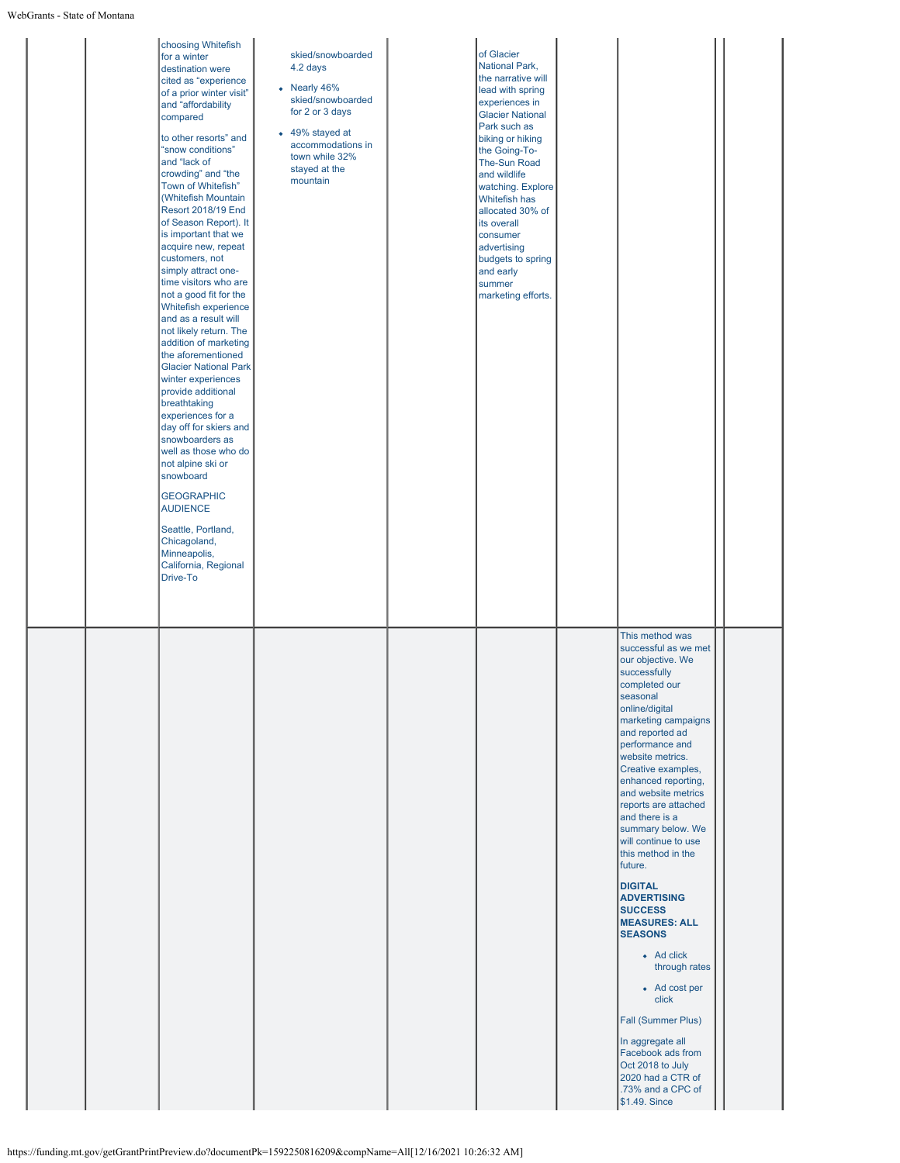| choosing Whitefish<br>for a winter<br>destination were<br>cited as "experience<br>of a prior winter visit"<br>and "affordability<br>compared<br>to other resorts" and<br>"snow conditions"<br>and "lack of<br>crowding" and "the<br>Town of Whitefish"<br>(Whitefish Mountain<br><b>Resort 2018/19 End</b><br>of Season Report). It<br>is important that we<br>acquire new, repeat<br>customers, not<br>simply attract one-<br>time visitors who are<br>not a good fit for the<br>Whitefish experience<br>and as a result will<br>not likely return. The<br>addition of marketing<br>the aforementioned<br><b>Glacier National Park</b><br>winter experiences<br>provide additional<br>breathtaking<br>experiences for a<br>day off for skiers and<br>snowboarders as<br>well as those who do<br>not alpine ski or<br>snowboard<br><b>GEOGRAPHIC</b><br><b>AUDIENCE</b><br>Seattle, Portland,<br>Chicagoland,<br>Minneapolis,<br>California, Regional<br>Drive-To | skied/snowboarded<br>4.2 days<br>• Nearly 46%<br>skied/snowboarded<br>for 2 or 3 days<br>• 49% stayed at<br>accommodations in<br>town while 32%<br>stayed at the<br>mountain | of Glacier<br>National Park,<br>the narrative will<br>lead with spring<br>experiences in<br><b>Glacier National</b><br>Park such as<br>biking or hiking<br>the Going-To-<br>The-Sun Road<br>and wildlife<br>watching. Explore<br>Whitefish has<br>allocated 30% of<br>its overall<br>consumer<br>advertising<br>budgets to spring<br>and early<br>summer<br>marketing efforts. |                                                                                                                                                                                                                                                                                                                                                                                                                                                                                                                                                                                                                                                                                                                     |  |
|-------------------------------------------------------------------------------------------------------------------------------------------------------------------------------------------------------------------------------------------------------------------------------------------------------------------------------------------------------------------------------------------------------------------------------------------------------------------------------------------------------------------------------------------------------------------------------------------------------------------------------------------------------------------------------------------------------------------------------------------------------------------------------------------------------------------------------------------------------------------------------------------------------------------------------------------------------------------|------------------------------------------------------------------------------------------------------------------------------------------------------------------------------|--------------------------------------------------------------------------------------------------------------------------------------------------------------------------------------------------------------------------------------------------------------------------------------------------------------------------------------------------------------------------------|---------------------------------------------------------------------------------------------------------------------------------------------------------------------------------------------------------------------------------------------------------------------------------------------------------------------------------------------------------------------------------------------------------------------------------------------------------------------------------------------------------------------------------------------------------------------------------------------------------------------------------------------------------------------------------------------------------------------|--|
|                                                                                                                                                                                                                                                                                                                                                                                                                                                                                                                                                                                                                                                                                                                                                                                                                                                                                                                                                                   |                                                                                                                                                                              |                                                                                                                                                                                                                                                                                                                                                                                | This method was<br>successful as we met<br>our objective. We<br>successfully<br>completed our<br>seasonal<br>online/digital<br>marketing campaigns<br>and reported ad<br>performance and<br>website metrics.<br>Creative examples,<br>enhanced reporting,<br>and website metrics<br>reports are attached<br>and there is a<br>summary below. We<br>will continue to use<br>this method in the<br>future.<br><b>DIGITAL</b><br><b>ADVERTISING</b><br><b>SUCCESS</b><br><b>MEASURES: ALL</b><br><b>SEASONS</b><br>• Ad click<br>through rates<br>• Ad cost per<br>click<br>Fall (Summer Plus)<br>In aggregate all<br>Facebook ads from<br>Oct 2018 to July<br>2020 had a CTR of<br>.73% and a CPC of<br>\$1.49. Since |  |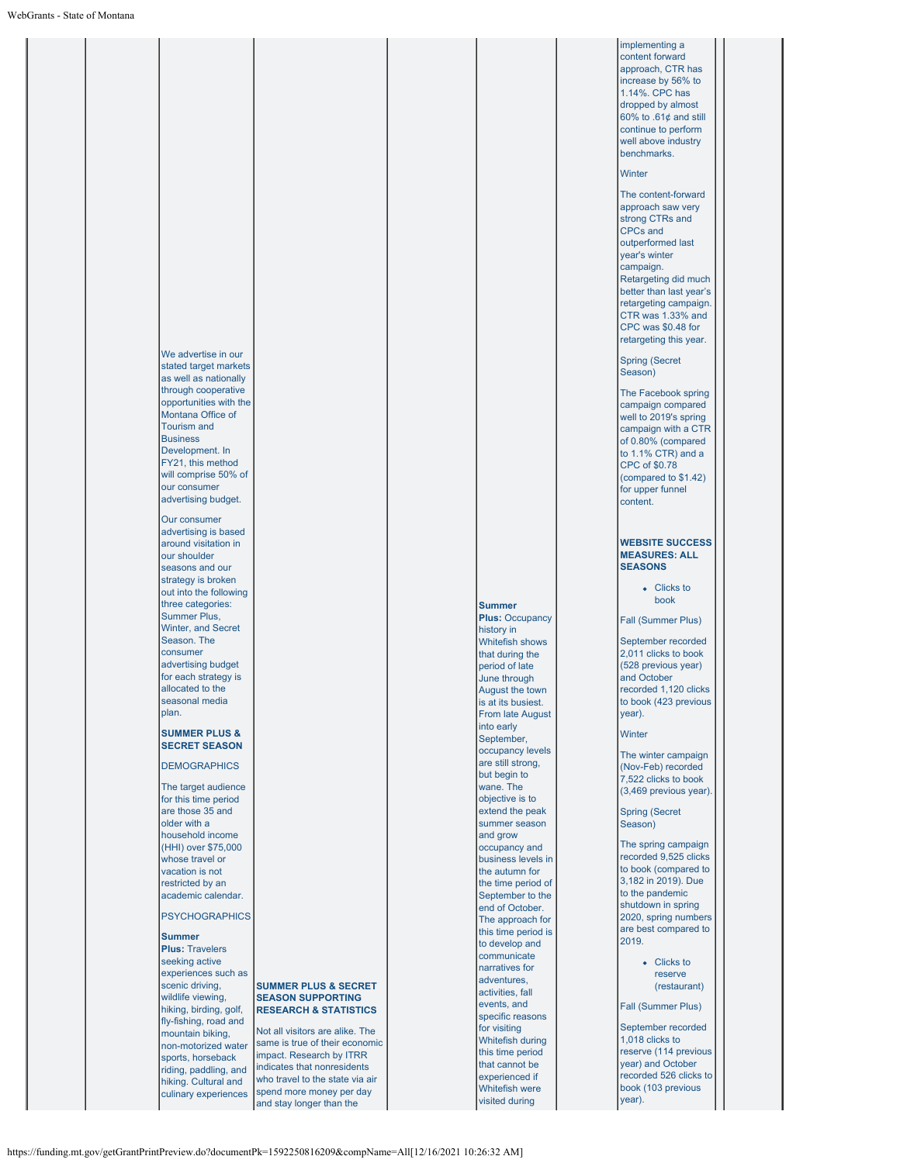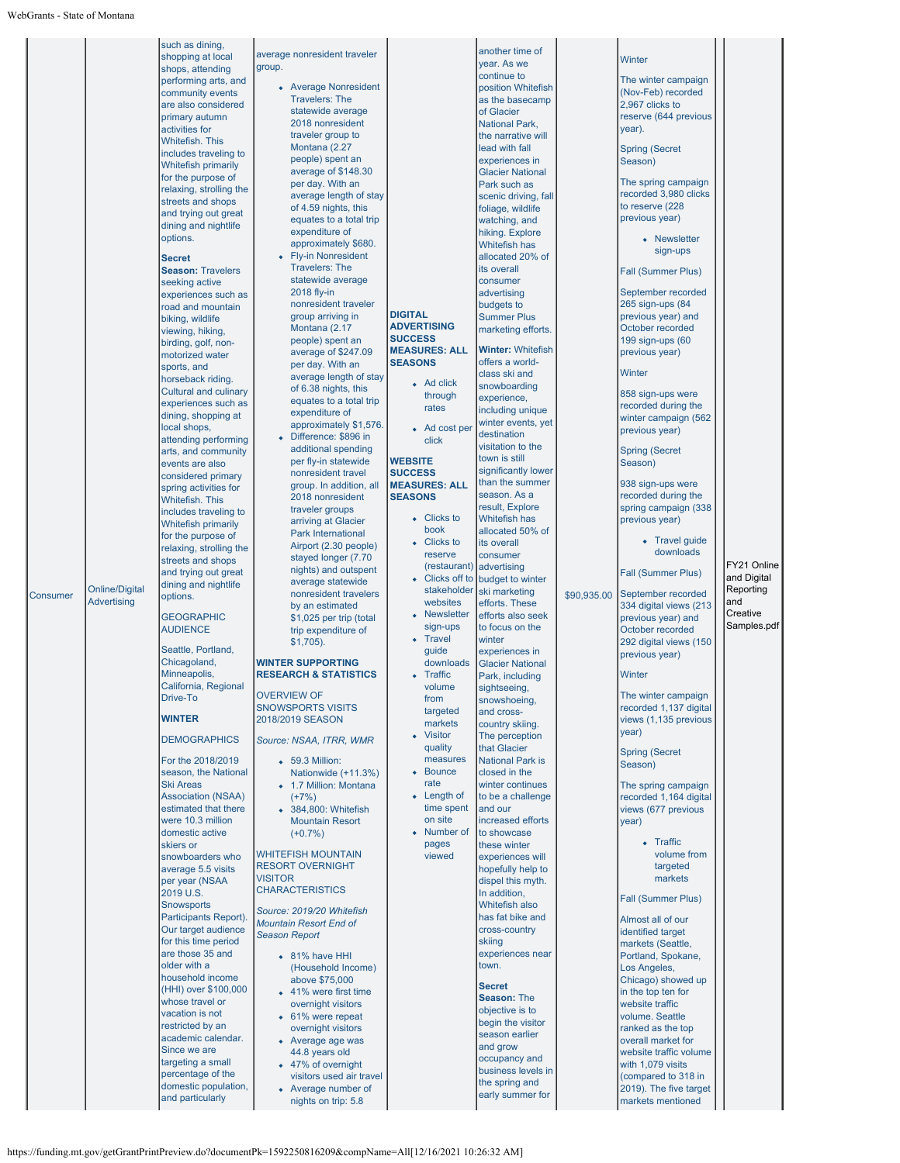| Consumer | <b>Online/Digital</b><br><b>Advertising</b> | such as dining,<br>shopping at local<br>shops, attending<br>performing arts, and<br>community events<br>are also considered<br>primary autumn<br>activities for<br><b>Whitefish, This</b><br>includes traveling to<br><b>Whitefish primarily</b><br>for the purpose of<br>relaxing, strolling the<br>streets and shops<br>and trying out great<br>dining and nightlife<br>options.<br><b>Secret</b><br><b>Season: Travelers</b><br>seeking active<br>experiences such as<br>road and mountain<br>biking, wildlife<br>viewing, hiking,<br>birding, golf, non-<br>motorized water<br>sports, and<br>horseback riding.<br><b>Cultural and culinary</b><br>experiences such as<br>dining, shopping at<br>local shops,<br>attending performing<br>arts, and community<br>events are also<br>considered primary<br>spring activities for<br>Whitefish. This<br>includes traveling to<br><b>Whitefish primarily</b><br>for the purpose of<br>relaxing, strolling the<br>streets and shops<br>and trying out great<br>dining and nightlife<br>options.<br><b>GEOGRAPHIC</b><br><b>AUDIENCE</b><br>Seattle, Portland,<br>Chicagoland,<br>Minneapolis,<br>California, Regional<br>Drive-To<br><b>WINTER</b><br><b>DEMOGRAPHICS</b><br>For the 2018/2019<br>season, the National<br>Ski Areas<br><b>Association (NSAA)</b><br>estimated that there<br>were 10.3 million<br>domestic active<br>skiers or<br>snowboarders who<br>average 5.5 visits<br>per year (NSAA<br>2019 U.S.<br><b>Snowsports</b><br>Participants Report).<br>Our target audience<br>for this time period<br>are those 35 and<br>older with a<br>household income<br>(HHI) over \$100,000<br>whose travel or<br>vacation is not<br>restricted by an<br>academic calendar.<br>Since we are<br>targeting a small<br>percentage of the<br>domestic population,<br>and particularly | average nonresident traveler<br>group.<br>• Average Nonresident<br><b>Travelers: The</b><br>statewide average<br>2018 nonresident<br>traveler group to<br>Montana (2.27<br>people) spent an<br>average of \$148.30<br>per day. With an<br>average length of stay<br>of 4.59 nights, this<br>equates to a total trip<br>expenditure of<br>approximately \$680.<br>• Fly-in Nonresident<br><b>Travelers: The</b><br>statewide average<br>2018 fly-in<br>nonresident traveler<br>group arriving in<br>Montana (2.17<br>people) spent an<br>average of \$247.09<br>per day. With an<br>average length of stay<br>of 6.38 nights, this<br>equates to a total trip<br>expenditure of<br>approximately \$1,576.<br>• Difference: \$896 in<br>additional spending<br>per fly-in statewide<br>nonresident travel<br>group. In addition, all<br>2018 nonresident<br>traveler groups<br>arriving at Glacier<br><b>Park International</b><br>Airport (2.30 people)<br>stayed longer (7.70<br>nights) and outspent<br>average statewide<br>nonresident travelers<br>by an estimated<br>\$1,025 per trip (total<br>trip expenditure of<br>$$1,705$ ).<br><b>WINTER SUPPORTING</b><br><b>RESEARCH &amp; STATISTICS</b><br><b>OVERVIEW OF</b><br><b>SNOWSPORTS VISITS</b><br>2018/2019 SEASON<br>Source: NSAA, ITRR, WMR<br>• 59.3 Million:<br>Nationwide (+11.3%)<br>• 1.7 Million: Montana<br>$(+7%)$<br>• 384,800: Whitefish<br><b>Mountain Resort</b><br>$(+0.7%)$<br><b>WHITEFISH MOUNTAIN</b><br><b>RESORT OVERNIGHT</b><br><b>VISITOR</b><br><b>CHARACTERISTICS</b><br>Source: 2019/20 Whitefish<br><b>Mountain Resort End of</b><br><b>Season Report</b><br>• 81% have HHI<br>(Household Income)<br>above \$75,000<br>• 41% were first time<br>overnight visitors<br>• 61% were repeat<br>overnight visitors<br>• Average age was<br>44.8 years old<br>• 47% of overnight<br>visitors used air travel<br>• Average number of<br>nights on trip: 5.8 | <b>DIGITAL</b><br><b>ADVERTISING</b><br><b>SUCCESS</b><br><b>MEASURES: ALL</b><br><b>SEASONS</b><br>• Ad click<br>through<br>rates<br>• Ad cost per<br>click<br><b>WEBSITE</b><br><b>SUCCESS</b><br><b>MEASURES: ALL</b><br><b>SEASONS</b><br>• Clicks to<br>book<br>• Clicks to<br>reserve<br>(restaurant)<br>stakeholder<br>websites<br>• Newsletter<br>sign-ups<br>• Travel<br>guide<br>downloads<br>• Traffic<br>volume<br>from<br>targeted<br>markets<br>• Visitor<br>quality<br>measures<br>• Bounce<br>rate<br>• Length of<br>time spent<br>on site<br>• Number of<br>pages<br>viewed | another time of<br>year. As we<br>continue to<br>position Whitefish<br>as the basecamp<br>of Glacier<br><b>National Park,</b><br>the narrative will<br>lead with fall<br>experiences in<br><b>Glacier National</b><br>Park such as<br>scenic driving, fall<br>foliage, wildlife<br>watching, and<br>hiking. Explore<br><b>Whitefish has</b><br>allocated 20% of<br>its overall<br>consumer<br>advertising<br>budgets to<br><b>Summer Plus</b><br>marketing efforts.<br><b>Winter: Whitefish</b><br>offers a world-<br>class ski and<br>snowboarding<br>experience,<br>including unique<br>winter events, yet<br>destination<br>visitation to the<br>town is still<br>significantly lower<br>than the summer<br>season. As a<br>result, Explore<br><b>Whitefish has</b><br>allocated 50% of<br>its overall<br>consumer<br>advertising<br>• Clicks off to budget to winter<br>ski marketing<br>efforts. These<br>efforts also seek<br>to focus on the<br>winter<br>experiences in<br><b>Glacier National</b><br>Park, including<br>sightseeing,<br>snowshoeing,<br>and cross-<br>country skiing.<br>The perception<br>that Glacier<br><b>National Park is</b><br>closed in the<br>winter continues<br>to be a challenge<br>and our<br>increased efforts<br>to showcase<br>these winter<br>experiences will<br>hopefully help to<br>dispel this myth.<br>In addition,<br><b>Whitefish also</b><br>has fat bike and<br>cross-country<br>skiing<br>experiences near<br>town.<br><b>Secret</b><br>Season: The<br>objective is to<br>begin the visitor<br>season earlier<br>and grow<br>occupancy and<br>business levels in<br>the spring and<br>early summer for | \$90,935.00 | Winter<br>The winter campaign<br>(Nov-Feb) recorded<br>2,967 clicks to<br>reserve (644 previous<br>year).<br><b>Spring (Secret</b><br>Season)<br>The spring campaign<br>recorded 3,980 clicks<br>to reserve (228<br>previous year)<br>• Newsletter<br>sign-ups<br>Fall (Summer Plus)<br>September recorded<br>265 sign-ups (84<br>previous year) and<br>October recorded<br>199 sign-ups (60<br>previous year)<br>Winter<br>858 sign-ups were<br>recorded during the<br>winter campaign (562<br>previous year)<br><b>Spring (Secret</b><br>Season)<br>938 sign-ups were<br>recorded during the<br>spring campaign (338<br>previous year)<br>• Travel guide<br>downloads<br>Fall (Summer Plus)<br>September recorded<br>334 digital views (213<br>previous year) and<br>October recorded<br>292 digital views (150<br>previous year)<br>Winter<br>The winter campaign<br>recorded 1,137 digital<br>views (1,135 previous<br>year)<br><b>Spring (Secret</b><br>Season)<br>The spring campaign<br>recorded 1,164 digital<br>views (677 previous<br>year)<br>• Traffic<br>volume from<br>targeted<br>markets<br>Fall (Summer Plus)<br>Almost all of our<br>identified target<br>markets (Seattle,<br>Portland, Spokane,<br>Los Angeles,<br>Chicago) showed up<br>in the top ten for<br>website traffic<br>volume. Seattle<br>ranked as the top<br>overall market for<br>website traffic volume<br>with 1,079 visits<br>(compared to 318 in<br>2019). The five target<br>markets mentioned | FY21 Online<br>and Digital<br>Reporting<br>and<br>Creative<br>Samples.pdf |
|----------|---------------------------------------------|------------------------------------------------------------------------------------------------------------------------------------------------------------------------------------------------------------------------------------------------------------------------------------------------------------------------------------------------------------------------------------------------------------------------------------------------------------------------------------------------------------------------------------------------------------------------------------------------------------------------------------------------------------------------------------------------------------------------------------------------------------------------------------------------------------------------------------------------------------------------------------------------------------------------------------------------------------------------------------------------------------------------------------------------------------------------------------------------------------------------------------------------------------------------------------------------------------------------------------------------------------------------------------------------------------------------------------------------------------------------------------------------------------------------------------------------------------------------------------------------------------------------------------------------------------------------------------------------------------------------------------------------------------------------------------------------------------------------------------------------------------------------------------------------------------------------------------------|---------------------------------------------------------------------------------------------------------------------------------------------------------------------------------------------------------------------------------------------------------------------------------------------------------------------------------------------------------------------------------------------------------------------------------------------------------------------------------------------------------------------------------------------------------------------------------------------------------------------------------------------------------------------------------------------------------------------------------------------------------------------------------------------------------------------------------------------------------------------------------------------------------------------------------------------------------------------------------------------------------------------------------------------------------------------------------------------------------------------------------------------------------------------------------------------------------------------------------------------------------------------------------------------------------------------------------------------------------------------------------------------------------------------------------------------------------------------------------------------------------------------------------------------------------------------------------------------------------------------------------------------------------------------------------------------------------------------------------------------------------------------------------------------------------------------------------------------------------------------------------------------------------------------------------------------|----------------------------------------------------------------------------------------------------------------------------------------------------------------------------------------------------------------------------------------------------------------------------------------------------------------------------------------------------------------------------------------------------------------------------------------------------------------------------------------------------------------------------------------------------------------------------------------------|------------------------------------------------------------------------------------------------------------------------------------------------------------------------------------------------------------------------------------------------------------------------------------------------------------------------------------------------------------------------------------------------------------------------------------------------------------------------------------------------------------------------------------------------------------------------------------------------------------------------------------------------------------------------------------------------------------------------------------------------------------------------------------------------------------------------------------------------------------------------------------------------------------------------------------------------------------------------------------------------------------------------------------------------------------------------------------------------------------------------------------------------------------------------------------------------------------------------------------------------------------------------------------------------------------------------------------------------------------------------------------------------------------------------------------------------------------------------------------------------------------------------------------------------------------------------------------------------------------------------------------------------------------|-------------|---------------------------------------------------------------------------------------------------------------------------------------------------------------------------------------------------------------------------------------------------------------------------------------------------------------------------------------------------------------------------------------------------------------------------------------------------------------------------------------------------------------------------------------------------------------------------------------------------------------------------------------------------------------------------------------------------------------------------------------------------------------------------------------------------------------------------------------------------------------------------------------------------------------------------------------------------------------------------------------------------------------------------------------------------------------------------------------------------------------------------------------------------------------------------------------------------------------------------------------------------------------------------------------------------------------------------------------------------------------------------------------------------------------------------------------------------------------------------------------|---------------------------------------------------------------------------|
|----------|---------------------------------------------|------------------------------------------------------------------------------------------------------------------------------------------------------------------------------------------------------------------------------------------------------------------------------------------------------------------------------------------------------------------------------------------------------------------------------------------------------------------------------------------------------------------------------------------------------------------------------------------------------------------------------------------------------------------------------------------------------------------------------------------------------------------------------------------------------------------------------------------------------------------------------------------------------------------------------------------------------------------------------------------------------------------------------------------------------------------------------------------------------------------------------------------------------------------------------------------------------------------------------------------------------------------------------------------------------------------------------------------------------------------------------------------------------------------------------------------------------------------------------------------------------------------------------------------------------------------------------------------------------------------------------------------------------------------------------------------------------------------------------------------------------------------------------------------------------------------------------------------|---------------------------------------------------------------------------------------------------------------------------------------------------------------------------------------------------------------------------------------------------------------------------------------------------------------------------------------------------------------------------------------------------------------------------------------------------------------------------------------------------------------------------------------------------------------------------------------------------------------------------------------------------------------------------------------------------------------------------------------------------------------------------------------------------------------------------------------------------------------------------------------------------------------------------------------------------------------------------------------------------------------------------------------------------------------------------------------------------------------------------------------------------------------------------------------------------------------------------------------------------------------------------------------------------------------------------------------------------------------------------------------------------------------------------------------------------------------------------------------------------------------------------------------------------------------------------------------------------------------------------------------------------------------------------------------------------------------------------------------------------------------------------------------------------------------------------------------------------------------------------------------------------------------------------------------------|----------------------------------------------------------------------------------------------------------------------------------------------------------------------------------------------------------------------------------------------------------------------------------------------------------------------------------------------------------------------------------------------------------------------------------------------------------------------------------------------------------------------------------------------------------------------------------------------|------------------------------------------------------------------------------------------------------------------------------------------------------------------------------------------------------------------------------------------------------------------------------------------------------------------------------------------------------------------------------------------------------------------------------------------------------------------------------------------------------------------------------------------------------------------------------------------------------------------------------------------------------------------------------------------------------------------------------------------------------------------------------------------------------------------------------------------------------------------------------------------------------------------------------------------------------------------------------------------------------------------------------------------------------------------------------------------------------------------------------------------------------------------------------------------------------------------------------------------------------------------------------------------------------------------------------------------------------------------------------------------------------------------------------------------------------------------------------------------------------------------------------------------------------------------------------------------------------------------------------------------------------------|-------------|---------------------------------------------------------------------------------------------------------------------------------------------------------------------------------------------------------------------------------------------------------------------------------------------------------------------------------------------------------------------------------------------------------------------------------------------------------------------------------------------------------------------------------------------------------------------------------------------------------------------------------------------------------------------------------------------------------------------------------------------------------------------------------------------------------------------------------------------------------------------------------------------------------------------------------------------------------------------------------------------------------------------------------------------------------------------------------------------------------------------------------------------------------------------------------------------------------------------------------------------------------------------------------------------------------------------------------------------------------------------------------------------------------------------------------------------------------------------------------------|---------------------------------------------------------------------------|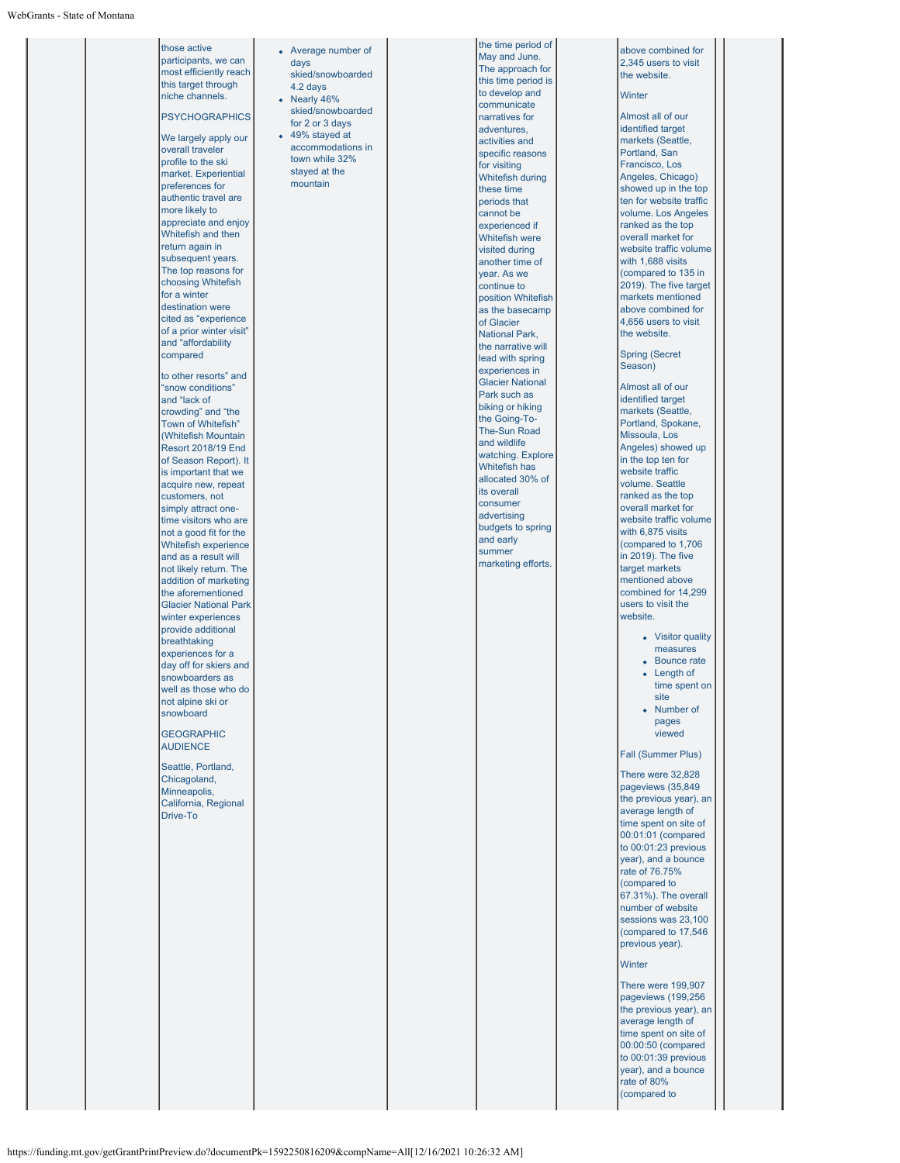those active participants, we can most efficiently reach this target through niche channels. **PSYCHOGRAPHICS** We largely apply our overall traveler profile to the ski market. Experiential preferences for authentic travel are more likely to appreciate and enjoy Whitefish and then return again in subsequent years. The top reasons for choosing Whitefish for a winter destination were cited as "experience of a prior winter visit" and "affordability compared to other resorts" and "snow conditions" and "lack of crowding" and "the Town of Whitefish" (Whitefish Mountain Resort 2018/19 End of Season Report). It is important that we acquire new, repeat customers, not simply attract onetime visitors who are not a good fit for the Whitefish experience and as a result will not likely return. The addition of marketing the aforementioned Glacier National Park winter experiences provide additional .<br>breathtaking experiences for a day off for skiers and snowboarders as well as those who do not alpine ski or snowboard **GEOGRAPHIC AUDIFNCE** Seattle, Portland, Chicagoland, **Minneapolis** California, Regional Drive-To days 4.2 days Nearly 46% 49% stayed at mountain

# Average number of skied/snowboarded skied/snowboarded for 2 or 3 days accommodations in town while 32% stayed at the

the time period of May and June. The approach for this time period is to develop and communicate narratives for adventures, activities and specific reasons for visiting Whitefish during these time periods that cannot be experienced if Whitefish were visited during another time of year. As we continue to position Whitefish .<br>as the basecamp of Glacier National Park, the narrative will lead with spring experiences in Glacier National Park such as biking or hiking the Going-To-The-Sun Road and wildlife watching. Explore Whitefish has allocated 30% of its overall consumer advertising budgets to spring and early summer marketing efforts.

#### above combined for 2,345 users to visit the website.

#### **Winter**

Almost all of our identified target markets (Seattle, Portland, San Francisco, Los Angeles, Chicago) showed up in the top ten for website traffic volume. Los Angeles ranked as the top overall market for website traffic volume with 1,688 visits (compared to 135 in 2019). The five target markets mentioned above combined for 4,656 users to visit the website. Spring (Secret Season) Almost all of our identified target markets (Seattle, Portland, Spokane, Missoula, Los Angeles) showed up in the top ten for website traffic volume. Seattle ranked as the top overall market for website traffic volume with 6,875 visits (compared to 1,706  $\overline{1}$  n 2019). The five target markets mentioned above combined for 14,299 users to visit the website. • Visitor quality measures **Bounce rate** • Length of time spent on site

> • Number of pages viewed

#### Fall (Summer Plus)

There were 32,828 pageviews (35,849 the previous year), an average length of time spent on site of 00:01:01 (compared to 00:01:23 previous year), and a bounce rate of 76.75% (compared to 67.31%). The overall number of website sessions was 23,100 (compared to 17,546 previous year).

#### **Winter**

There were 199,907 pageviews (199,256 the previous year), an average length of time spent on site of 00:00:50 (compared to 00:01:39 previous year), and a bounce rate of 80% (compared to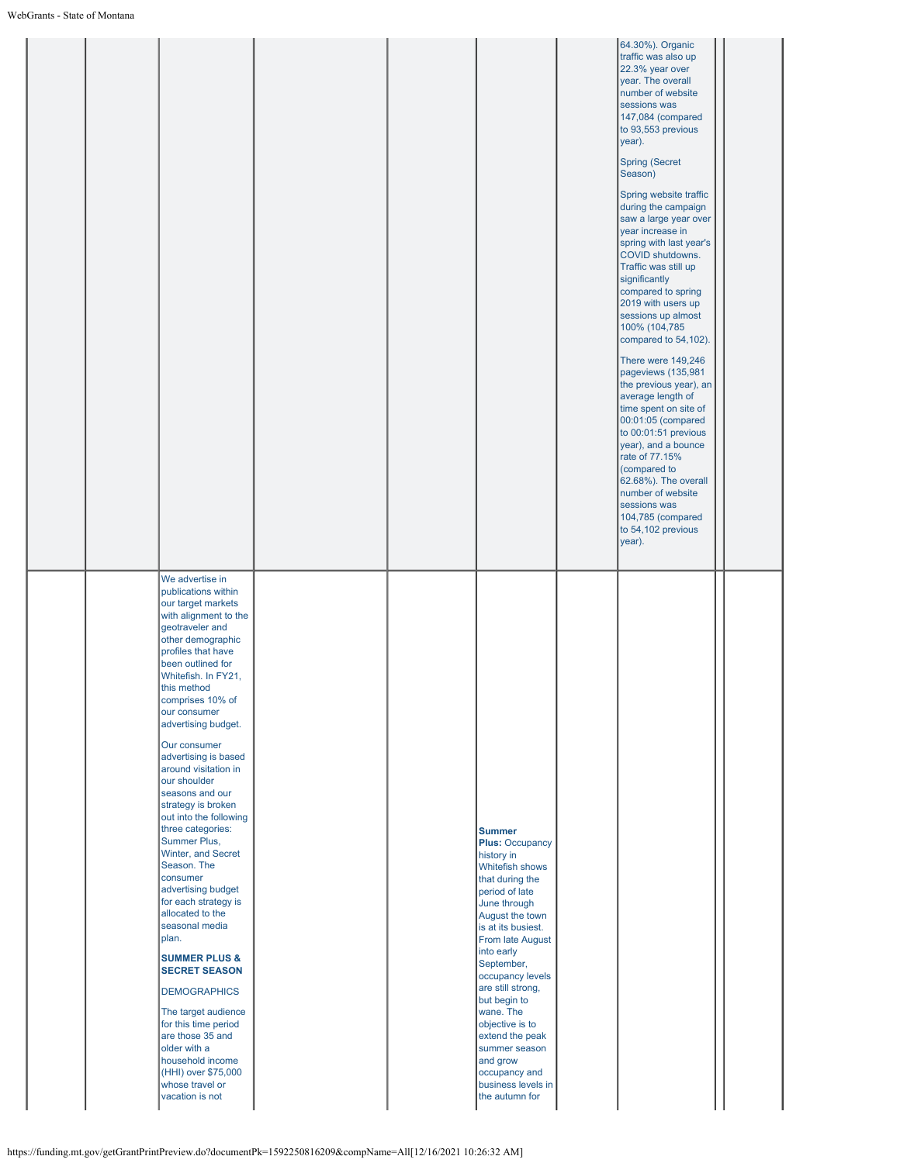|                                                                                                                                                                                                                                                                                                                                                                                                                                                                                                                                                                                                                                                                                                                                                                                                                                                                |                                                                                                                                                                                                                                                                                                                                                                                                                          | 64.30%). Organic<br>traffic was also up<br>22.3% year over<br>year. The overall<br>number of website<br>sessions was<br>147,084 (compared<br>to 93,553 previous<br>year).<br>Spring (Secret<br>Season)<br>Spring website traffic<br>during the campaign<br>saw a large year over<br>year increase in<br>spring with last year's<br>COVID shutdowns.<br>Traffic was still up<br>significantly<br>compared to spring<br>2019 with users up<br>sessions up almost<br>100% (104,785<br>compared to 54,102).<br>There were 149,246<br>pageviews (135,981<br>the previous year), an<br>average length of<br>time spent on site of<br>00:01:05 (compared<br>to 00:01:51 previous<br>year), and a bounce<br>rate of 77.15%<br>(compared to<br>62.68%). The overall<br>number of website<br>sessions was<br>104,785 (compared<br>to 54,102 previous<br>year). |
|----------------------------------------------------------------------------------------------------------------------------------------------------------------------------------------------------------------------------------------------------------------------------------------------------------------------------------------------------------------------------------------------------------------------------------------------------------------------------------------------------------------------------------------------------------------------------------------------------------------------------------------------------------------------------------------------------------------------------------------------------------------------------------------------------------------------------------------------------------------|--------------------------------------------------------------------------------------------------------------------------------------------------------------------------------------------------------------------------------------------------------------------------------------------------------------------------------------------------------------------------------------------------------------------------|------------------------------------------------------------------------------------------------------------------------------------------------------------------------------------------------------------------------------------------------------------------------------------------------------------------------------------------------------------------------------------------------------------------------------------------------------------------------------------------------------------------------------------------------------------------------------------------------------------------------------------------------------------------------------------------------------------------------------------------------------------------------------------------------------------------------------------------------------|
| We advertise in<br>publications within<br>our target markets<br>with alignment to the<br>geotraveler and<br>other demographic<br>profiles that have<br>been outlined for<br>Whitefish. In FY21,<br>this method<br>comprises 10% of<br>our consumer<br>advertising budget.<br>Our consumer<br>advertising is based<br>around visitation in<br>our shoulder<br>seasons and our<br>strategy is broken<br>out into the following<br>three categories:<br>Summer Plus,<br>Winter, and Secret<br>Season. The<br>consumer<br>advertising budget<br>for each strategy is<br>allocated to the<br>seasonal media<br>plan.<br><b>SUMMER PLUS &amp;</b><br><b>SECRET SEASON</b><br><b>DEMOGRAPHICS</b><br>The target audience<br>for this time period<br>are those 35 and<br>older with a<br>household income<br>(HHI) over \$75,000<br>whose travel or<br>vacation is not | <b>Summer</b><br><b>Plus: Occupancy</b><br>history in<br>Whitefish shows<br>that during the<br>period of late<br>June through<br>August the town<br>is at its busiest.<br>From late August<br>into early<br>September,<br>occupancy levels<br>are still strong,<br>but begin to<br>wane. The<br>objective is to<br>extend the peak<br>summer season<br>and grow<br>occupancy and<br>business levels in<br>the autumn for |                                                                                                                                                                                                                                                                                                                                                                                                                                                                                                                                                                                                                                                                                                                                                                                                                                                      |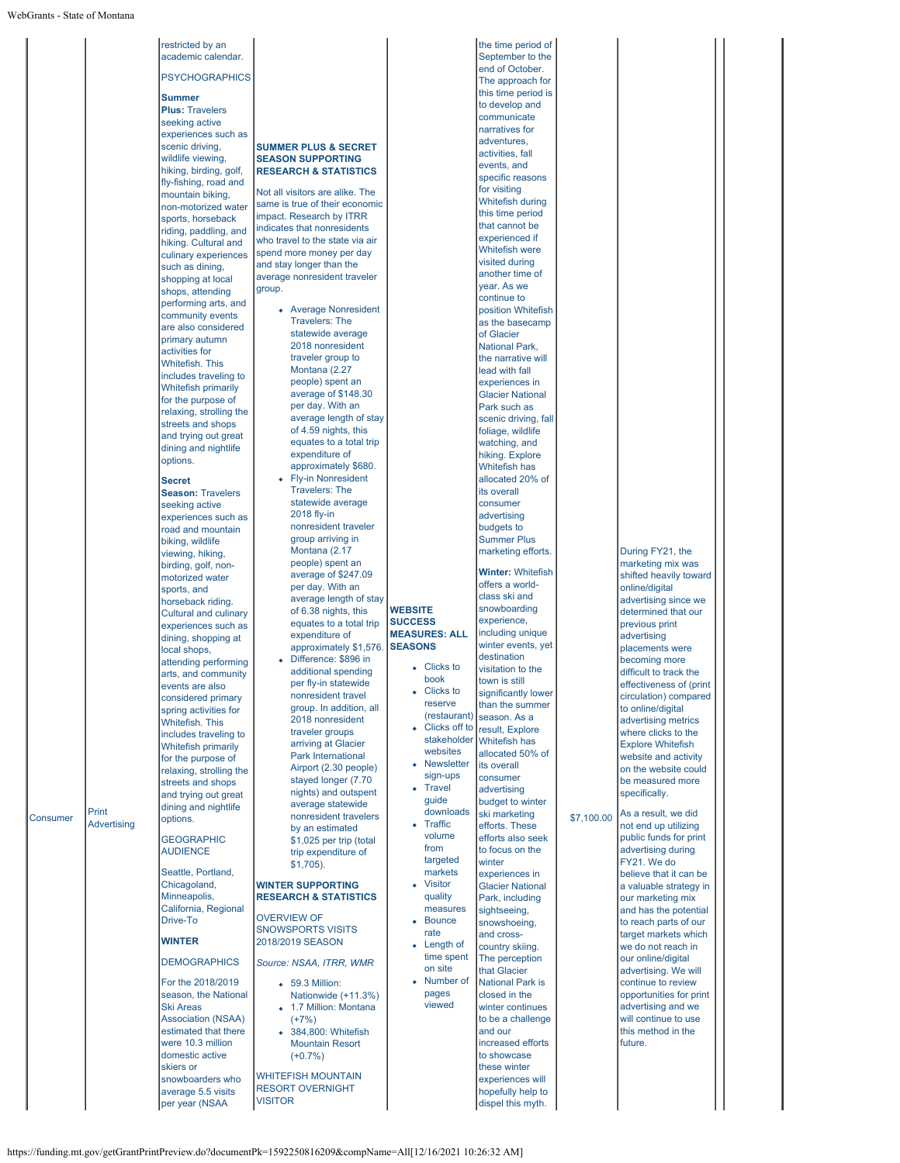| Print<br><b>Consumer</b><br><b>Advertising</b> | restricted by an<br>academic calendar.<br><b>PSYCHOGRAPHICS</b><br><b>Summer</b><br><b>Plus: Travelers</b><br>seeking active<br>experiences such as<br>scenic driving,<br>wildlife viewing,<br>hiking, birding, golf,<br>fly-fishing, road and<br>mountain biking,<br>non-motorized water<br>sports, horseback<br>riding, paddling, and<br>hiking. Cultural and<br>culinary experiences<br>such as dining,<br>shopping at local<br>shops, attending<br>performing arts, and<br>community events<br>are also considered<br>primary autumn<br>activities for<br>Whitefish. This<br>includes traveling to<br><b>Whitefish primarily</b><br>for the purpose of<br>relaxing, strolling the<br>streets and shops<br>and trying out great<br>dining and nightlife<br>options.<br><b>Secret</b><br><b>Season: Travelers</b><br>seeking active<br>experiences such as<br>road and mountain<br>biking, wildlife<br>viewing, hiking,<br>birding, golf, non-<br>motorized water<br>sports, and<br>horseback riding.<br><b>Cultural and culinary</b><br>experiences such as<br>dining, shopping at<br>local shops,<br>attending performing<br>arts, and community<br>events are also<br>considered primary<br>spring activities for<br><b>Whitefish, This</b><br>includes traveling to<br><b>Whitefish primarily</b><br>for the purpose of<br>relaxing, strolling the<br>streets and shops<br>and trying out great<br>dining and nightlife<br>options.<br><b>GEOGRAPHIC</b><br><b>AUDIENCE</b><br>Seattle, Portland,<br>Chicagoland,<br>Minneapolis,<br>California, Regional<br>Drive-To<br><b>WINTER</b><br><b>DEMOGRAPHICS</b><br>For the 2018/2019<br>season, the National<br><b>Ski Areas</b><br><b>Association (NSAA)</b><br>estimated that there<br>were 10.3 million<br>domestic active<br>skiers or<br>snowboarders who<br>average 5.5 visits<br>per year (NSAA | <b>SUMMER PLUS &amp; SECRET</b><br><b>SEASON SUPPORTING</b><br><b>RESEARCH &amp; STATISTICS</b><br>Not all visitors are alike. The<br>same is true of their economic<br>impact. Research by ITRR<br>indicates that nonresidents<br>who travel to the state via air<br>spend more money per day<br>and stay longer than the<br>average nonresident traveler<br>group.<br>• Average Nonresident<br><b>Travelers: The</b><br>statewide average<br>2018 nonresident<br>traveler group to<br>Montana (2.27<br>people) spent an<br>average of \$148.30<br>per day. With an<br>average length of stay<br>of 4.59 nights, this<br>equates to a total trip<br>expenditure of<br>approximately \$680.<br>• Fly-in Nonresident<br><b>Travelers: The</b><br>statewide average<br>2018 fly-in<br>nonresident traveler<br>group arriving in<br>Montana (2.17<br>people) spent an<br>average of \$247.09<br>per day. With an<br>average length of stay<br>of 6.38 nights, this<br>equates to a total trip<br>expenditure of<br>approximately \$1,576. SEASONS<br>Difference: \$896 in<br>additional spending<br>per fly-in statewide<br>nonresident travel<br>group. In addition, all<br>2018 nonresident<br>traveler groups<br>arriving at Glacier<br><b>Park International</b><br>Airport (2.30 people)<br>stayed longer (7.70<br>nights) and outspent<br>average statewide<br>nonresident travelers<br>by an estimated<br>\$1,025 per trip (total<br>trip expenditure of<br>$$1,705$ ).<br><b>WINTER SUPPORTING</b><br><b>RESEARCH &amp; STATISTICS</b><br><b>OVERVIEW OF</b><br><b>SNOWSPORTS VISITS</b><br>2018/2019 SEASON<br>Source: NSAA, ITRR, WMR<br>• 59.3 Million:<br>Nationwide (+11.3%)<br>• 1.7 Million: Montana<br>$(+7%)$<br>• 384,800: Whitefish<br><b>Mountain Resort</b><br>$(+0.7%)$<br><b>WHITEFISH MOUNTAIN</b><br><b>RESORT OVERNIGHT</b><br><b>VISITOR</b> | <b>WEBSITE</b><br><b>SUCCESS</b><br><b>MEASURES: ALL</b><br>• Clicks to<br>book<br>Clicks to<br>reserve<br>(restaurant)<br>Clicks off to<br>stakeholder<br>websites<br>• Newsletter<br>sign-ups<br>• Travel<br>guide<br>downloads<br>Traffic<br>ò.<br>volume<br>from<br>targeted<br>markets<br>• Visitor<br>quality<br>measures<br><b>Bounce</b><br>rate<br>• Length of<br>time spent<br>on site<br>• Number of<br>pages<br>viewed | the time period of<br>September to the<br>end of October.<br>The approach for<br>this time period is<br>to develop and<br>communicate<br>narratives for<br>adventures,<br>activities, fall<br>events, and<br>specific reasons<br>for visiting<br>Whitefish during<br>this time period<br>that cannot be<br>experienced if<br>Whitefish were<br>visited during<br>another time of<br>year. As we<br>continue to<br>position Whitefish<br>as the basecamp<br>of Glacier<br><b>National Park,</b><br>the narrative will<br>lead with fall<br>experiences in<br><b>Glacier National</b><br>Park such as<br>scenic driving, fall<br>foliage, wildlife<br>watching, and<br>hiking. Explore<br>Whitefish has<br>allocated 20% of<br>its overall<br>consumer<br>advertising<br>budgets to<br><b>Summer Plus</b><br>marketing efforts.<br><b>Winter: Whitefish</b><br>offers a world-<br>class ski and<br>snowboarding<br>experience,<br>including unique<br>winter events, yet<br>destination<br>visitation to the<br>town is still<br>significantly lower<br>than the summer<br>season. As a<br>result, Explore<br><b>Whitefish has</b><br>allocated 50% of<br>its overall<br>consumer<br>advertising<br>budget to winter<br>ski marketing<br>efforts. These<br>efforts also seek<br>to focus on the<br>winter<br>experiences in<br><b>Glacier National</b><br>Park, including<br>sightseeing,<br>snowshoeing,<br>and cross-<br>country skiing.<br>The perception<br>that Glacier<br><b>National Park is</b><br>closed in the<br>winter continues<br>to be a challenge<br>and our<br>increased efforts<br>to showcase<br>these winter<br>experiences will<br>hopefully help to<br>dispel this myth. | \$7,100.00 | During FY21, the<br>marketing mix was<br>shifted heavily toward<br>online/digital<br>advertising since we<br>determined that our<br>previous print<br>advertising<br>placements were<br>becoming more<br>difficult to track the<br>effectiveness of (print<br>circulation) compared<br>to online/digital<br>advertising metrics<br>where clicks to the<br><b>Explore Whitefish</b><br>website and activity<br>on the website could<br>be measured more<br>specifically.<br>As a result, we did<br>not end up utilizing<br>public funds for print<br>advertising during<br>FY21. We do<br>believe that it can be<br>a valuable strategy in<br>our marketing mix<br>and has the potential<br>to reach parts of our<br>target markets which<br>we do not reach in<br>our online/digital<br>advertising. We will<br>continue to review<br>opportunities for print<br>advertising and we<br>will continue to use<br>this method in the<br>future. |  |
|------------------------------------------------|------------------------------------------------------------------------------------------------------------------------------------------------------------------------------------------------------------------------------------------------------------------------------------------------------------------------------------------------------------------------------------------------------------------------------------------------------------------------------------------------------------------------------------------------------------------------------------------------------------------------------------------------------------------------------------------------------------------------------------------------------------------------------------------------------------------------------------------------------------------------------------------------------------------------------------------------------------------------------------------------------------------------------------------------------------------------------------------------------------------------------------------------------------------------------------------------------------------------------------------------------------------------------------------------------------------------------------------------------------------------------------------------------------------------------------------------------------------------------------------------------------------------------------------------------------------------------------------------------------------------------------------------------------------------------------------------------------------------------------------------------------------------------------------------------------------------------------------------------------|----------------------------------------------------------------------------------------------------------------------------------------------------------------------------------------------------------------------------------------------------------------------------------------------------------------------------------------------------------------------------------------------------------------------------------------------------------------------------------------------------------------------------------------------------------------------------------------------------------------------------------------------------------------------------------------------------------------------------------------------------------------------------------------------------------------------------------------------------------------------------------------------------------------------------------------------------------------------------------------------------------------------------------------------------------------------------------------------------------------------------------------------------------------------------------------------------------------------------------------------------------------------------------------------------------------------------------------------------------------------------------------------------------------------------------------------------------------------------------------------------------------------------------------------------------------------------------------------------------------------------------------------------------------------------------------------------------------------------------------------------------------------------------------------------------------------------------------------------------------------|------------------------------------------------------------------------------------------------------------------------------------------------------------------------------------------------------------------------------------------------------------------------------------------------------------------------------------------------------------------------------------------------------------------------------------|----------------------------------------------------------------------------------------------------------------------------------------------------------------------------------------------------------------------------------------------------------------------------------------------------------------------------------------------------------------------------------------------------------------------------------------------------------------------------------------------------------------------------------------------------------------------------------------------------------------------------------------------------------------------------------------------------------------------------------------------------------------------------------------------------------------------------------------------------------------------------------------------------------------------------------------------------------------------------------------------------------------------------------------------------------------------------------------------------------------------------------------------------------------------------------------------------------------------------------------------------------------------------------------------------------------------------------------------------------------------------------------------------------------------------------------------------------------------------------------------------------------------------------------------------------------------------------------------------------------------------------------------------------------------------------------------|------------|----------------------------------------------------------------------------------------------------------------------------------------------------------------------------------------------------------------------------------------------------------------------------------------------------------------------------------------------------------------------------------------------------------------------------------------------------------------------------------------------------------------------------------------------------------------------------------------------------------------------------------------------------------------------------------------------------------------------------------------------------------------------------------------------------------------------------------------------------------------------------------------------------------------------------------------------|--|
|------------------------------------------------|------------------------------------------------------------------------------------------------------------------------------------------------------------------------------------------------------------------------------------------------------------------------------------------------------------------------------------------------------------------------------------------------------------------------------------------------------------------------------------------------------------------------------------------------------------------------------------------------------------------------------------------------------------------------------------------------------------------------------------------------------------------------------------------------------------------------------------------------------------------------------------------------------------------------------------------------------------------------------------------------------------------------------------------------------------------------------------------------------------------------------------------------------------------------------------------------------------------------------------------------------------------------------------------------------------------------------------------------------------------------------------------------------------------------------------------------------------------------------------------------------------------------------------------------------------------------------------------------------------------------------------------------------------------------------------------------------------------------------------------------------------------------------------------------------------------------------------------------------------|----------------------------------------------------------------------------------------------------------------------------------------------------------------------------------------------------------------------------------------------------------------------------------------------------------------------------------------------------------------------------------------------------------------------------------------------------------------------------------------------------------------------------------------------------------------------------------------------------------------------------------------------------------------------------------------------------------------------------------------------------------------------------------------------------------------------------------------------------------------------------------------------------------------------------------------------------------------------------------------------------------------------------------------------------------------------------------------------------------------------------------------------------------------------------------------------------------------------------------------------------------------------------------------------------------------------------------------------------------------------------------------------------------------------------------------------------------------------------------------------------------------------------------------------------------------------------------------------------------------------------------------------------------------------------------------------------------------------------------------------------------------------------------------------------------------------------------------------------------------------|------------------------------------------------------------------------------------------------------------------------------------------------------------------------------------------------------------------------------------------------------------------------------------------------------------------------------------------------------------------------------------------------------------------------------------|----------------------------------------------------------------------------------------------------------------------------------------------------------------------------------------------------------------------------------------------------------------------------------------------------------------------------------------------------------------------------------------------------------------------------------------------------------------------------------------------------------------------------------------------------------------------------------------------------------------------------------------------------------------------------------------------------------------------------------------------------------------------------------------------------------------------------------------------------------------------------------------------------------------------------------------------------------------------------------------------------------------------------------------------------------------------------------------------------------------------------------------------------------------------------------------------------------------------------------------------------------------------------------------------------------------------------------------------------------------------------------------------------------------------------------------------------------------------------------------------------------------------------------------------------------------------------------------------------------------------------------------------------------------------------------------------|------------|----------------------------------------------------------------------------------------------------------------------------------------------------------------------------------------------------------------------------------------------------------------------------------------------------------------------------------------------------------------------------------------------------------------------------------------------------------------------------------------------------------------------------------------------------------------------------------------------------------------------------------------------------------------------------------------------------------------------------------------------------------------------------------------------------------------------------------------------------------------------------------------------------------------------------------------------|--|

https://funding.mt.gov/getGrantPrintPreview.do?documentPk=1592250816209&compName=All[12/16/2021 10:26:32 AM]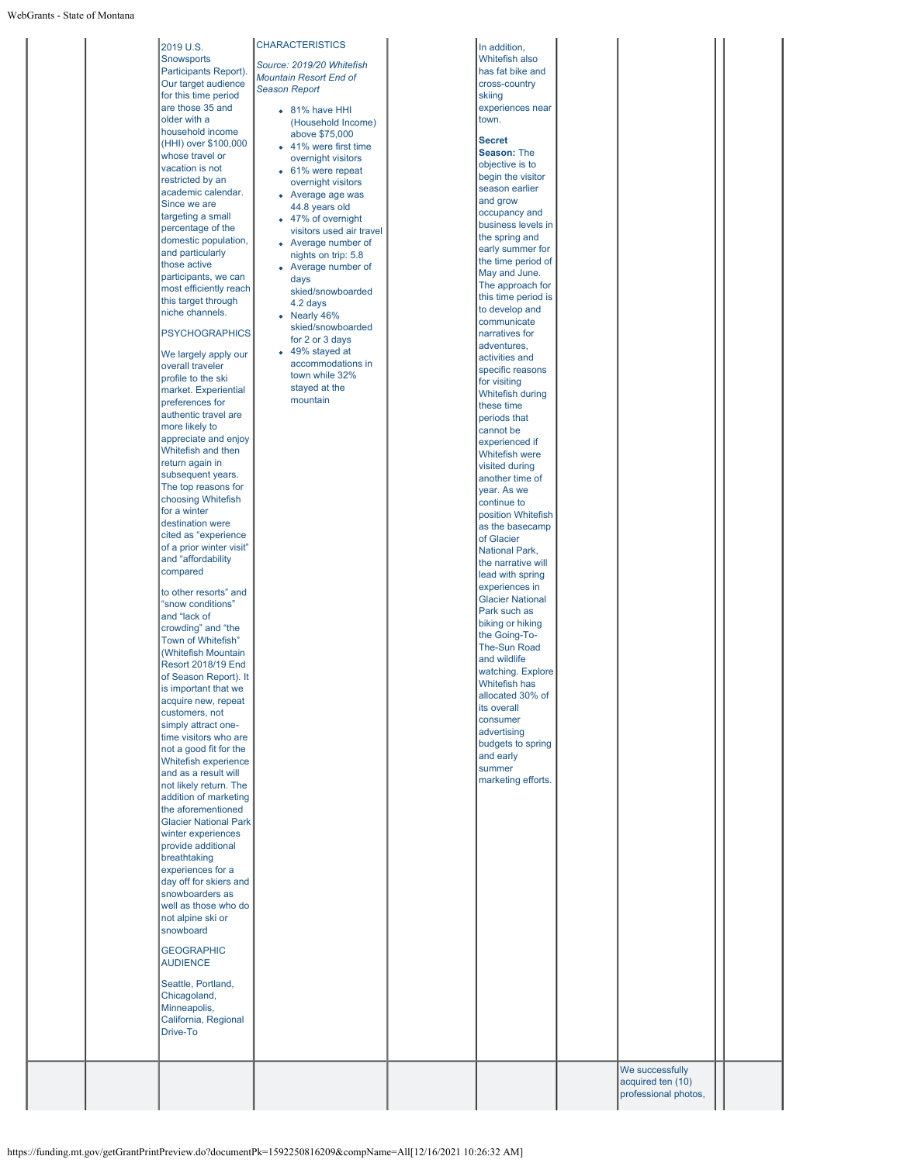|  | <b>Snowsports</b><br>Participants Report).<br>Our target audience<br>for this time period<br>are those 35 and<br>older with a<br>household income<br>(HHI) over \$100,000<br>whose travel or<br>vacation is not<br>restricted by an<br>academic calendar.<br>Since we are<br>targeting a small<br>percentage of the<br>domestic population,<br>and particularly<br>those active<br>participants, we can<br>most efficiently reach<br>this target through<br>niche channels.<br><b>PSYCHOGRAPHICS</b><br>We largely apply our<br>overall traveler<br>profile to the ski<br>market. Experiential<br>preferences for<br>authentic travel are<br>more likely to<br>appreciate and enjoy<br>Whitefish and then<br>return again in<br>subsequent years.<br>The top reasons for<br>choosing Whitefish<br>for a winter<br>destination were<br>cited as "experience<br>of a prior winter visit"<br>and "affordability<br>compared<br>to other resorts" and<br>"snow conditions"<br>and "lack of<br>crowding" and "the<br>Town of Whitefish"<br>(Whitefish Mountain<br>Resort 2018/19 End<br>of Season Report). It<br>is important that we<br>acquire new, repeat<br>customers, not<br>simply attract one-<br>time visitors who are<br>not a good fit for the<br>Whitefish experience<br>and as a result will<br>not likely return. The<br>addition of marketing<br>the aforementioned<br><b>Glacier National Park</b><br>winter experiences<br>provide additional<br>breathtaking<br>experiences for a<br>day off for skiers and<br>snowboarders as<br>well as those who do<br>not alpine ski or<br>snowboard<br><b>GEOGRAPHIC</b><br><b>AUDIENCE</b><br>Seattle, Portland,<br>Chicagoland,<br>Minneapolis,<br>California, Regional<br>Drive-To | Source: 2019/20 Whitefish<br><b>Mountain Resort End of</b><br><b>Season Report</b><br>• 81% have HHI<br>(Household Income)<br>above \$75,000<br>• 41% were first time<br>overnight visitors<br>• 61% were repeat<br>overnight visitors<br>• Average age was<br>44.8 years old<br>• 47% of overnight<br>visitors used air travel<br>• Average number of<br>nights on trip: 5.8<br>• Average number of<br>days<br>skied/snowboarded<br>4.2 days<br>• Nearly 46%<br>skied/snowboarded<br>for 2 or 3 days<br>• 49% stayed at<br>accommodations in<br>town while 32%<br>stayed at the<br>mountain | Whitefish also<br>has fat bike and<br>cross-country<br>skiing<br>experiences near<br>town.<br><b>Secret</b><br>Season: The<br>objective is to<br>begin the visitor<br>season earlier<br>and grow<br>occupancy and<br>business levels in<br>the spring and<br>early summer for<br>the time period of<br>May and June.<br>The approach for<br>this time period is<br>to develop and<br>communicate<br>narratives for<br>adventures,<br>activities and<br>specific reasons<br>for visiting<br>Whitefish during<br>these time<br>periods that<br>cannot be<br>experienced if<br>Whitefish were<br>visited during<br>another time of<br>year. As we<br>continue to<br>position Whitefish<br>as the basecamp<br>of Glacier<br><b>National Park,</b><br>the narrative will<br>lead with spring<br>experiences in<br><b>Glacier National</b><br>Park such as<br>biking or hiking<br>the Going-To-<br><b>The-Sun Road</b><br>and wildlife<br>watching. Explore<br>Whitefish has<br>allocated 30% of<br>its overall<br>consumer<br>advertising<br>budgets to spring<br>and early<br>summer<br>marketing efforts. |  |
|--|----------------------------------------------------------------------------------------------------------------------------------------------------------------------------------------------------------------------------------------------------------------------------------------------------------------------------------------------------------------------------------------------------------------------------------------------------------------------------------------------------------------------------------------------------------------------------------------------------------------------------------------------------------------------------------------------------------------------------------------------------------------------------------------------------------------------------------------------------------------------------------------------------------------------------------------------------------------------------------------------------------------------------------------------------------------------------------------------------------------------------------------------------------------------------------------------------------------------------------------------------------------------------------------------------------------------------------------------------------------------------------------------------------------------------------------------------------------------------------------------------------------------------------------------------------------------------------------------------------------------------------------------------------------------------------------------------------------------------------------|----------------------------------------------------------------------------------------------------------------------------------------------------------------------------------------------------------------------------------------------------------------------------------------------------------------------------------------------------------------------------------------------------------------------------------------------------------------------------------------------------------------------------------------------------------------------------------------------|--------------------------------------------------------------------------------------------------------------------------------------------------------------------------------------------------------------------------------------------------------------------------------------------------------------------------------------------------------------------------------------------------------------------------------------------------------------------------------------------------------------------------------------------------------------------------------------------------------------------------------------------------------------------------------------------------------------------------------------------------------------------------------------------------------------------------------------------------------------------------------------------------------------------------------------------------------------------------------------------------------------------------------------------------------------------------------------------------------|--|
|  | 2019 U.S.                                                                                                                                                                                                                                                                                                                                                                                                                                                                                                                                                                                                                                                                                                                                                                                                                                                                                                                                                                                                                                                                                                                                                                                                                                                                                                                                                                                                                                                                                                                                                                                                                                                                                                                              | <b>CHARACTERISTICS</b>                                                                                                                                                                                                                                                                                                                                                                                                                                                                                                                                                                       | In addition,                                                                                                                                                                                                                                                                                                                                                                                                                                                                                                                                                                                                                                                                                                                                                                                                                                                                                                                                                                                                                                                                                           |  |
|  |                                                                                                                                                                                                                                                                                                                                                                                                                                                                                                                                                                                                                                                                                                                                                                                                                                                                                                                                                                                                                                                                                                                                                                                                                                                                                                                                                                                                                                                                                                                                                                                                                                                                                                                                        |                                                                                                                                                                                                                                                                                                                                                                                                                                                                                                                                                                                              |                                                                                                                                                                                                                                                                                                                                                                                                                                                                                                                                                                                                                                                                                                                                                                                                                                                                                                                                                                                                                                                                                                        |  |
|  |                                                                                                                                                                                                                                                                                                                                                                                                                                                                                                                                                                                                                                                                                                                                                                                                                                                                                                                                                                                                                                                                                                                                                                                                                                                                                                                                                                                                                                                                                                                                                                                                                                                                                                                                        |                                                                                                                                                                                                                                                                                                                                                                                                                                                                                                                                                                                              |                                                                                                                                                                                                                                                                                                                                                                                                                                                                                                                                                                                                                                                                                                                                                                                                                                                                                                                                                                                                                                                                                                        |  |

 $\mathsf{I}$ 

We successfully acquired ten (10) professional photos,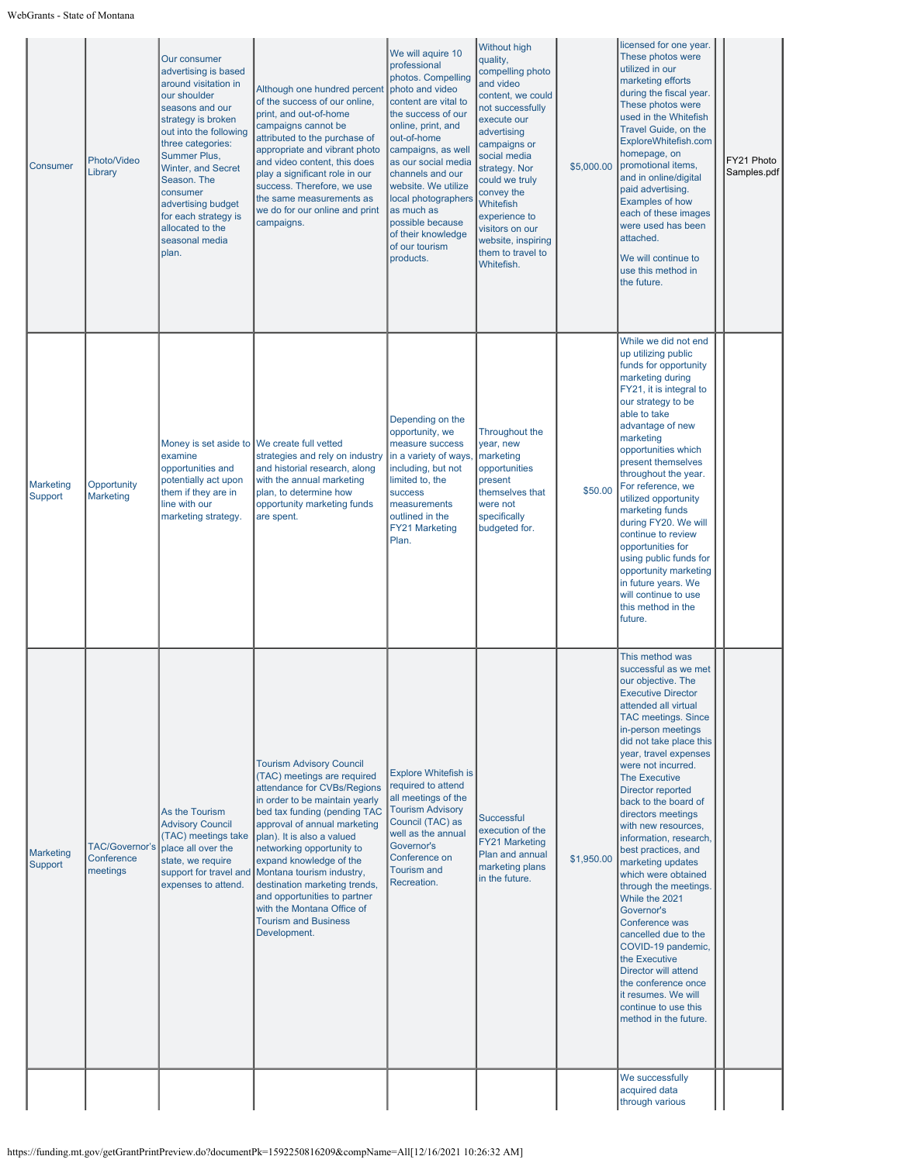| Consumer                           | Photo/Video<br>Library                   | Our consumer<br>advertising is based<br>around visitation in<br>our shoulder<br>seasons and our<br>strategy is broken<br>out into the following<br>three categories:<br>Summer Plus,<br>Winter, and Secret<br>Season. The<br>consumer<br>advertising budget<br>for each strategy is<br>allocated to the<br>seasonal media<br>plan. | Although one hundred percent<br>of the success of our online,<br>print, and out-of-home<br>campaigns cannot be<br>attributed to the purchase of<br>appropriate and vibrant photo<br>and video content, this does<br>play a significant role in our<br>success. Therefore, we use<br>the same measurements as<br>we do for our online and print<br>campaigns.                                                                                                                            | We will aquire 10<br>professional<br>photos. Compelling<br>photo and video<br>content are vital to<br>the success of our<br>online, print, and<br>out-of-home<br>campaigns, as well<br>as our social media<br>channels and our<br>website. We utilize<br>local photographers<br>las much as<br>possible because<br>of their knowledge<br>of our tourism<br>products. | <b>Without high</b><br>quality,<br>compelling photo<br>and video<br>content, we could<br>not successfully<br>execute our<br>advertising<br>campaigns or<br>social media<br>strategy. Nor<br>could we truly<br>convey the<br>Whitefish<br>experience to<br>visitors on our<br>website, inspiring<br>them to travel to<br>Whitefish. | \$5,000.00 | licensed for one year.<br>These photos were<br>utilized in our<br>marketing efforts<br>during the fiscal year.<br>These photos were<br>used in the Whitefish<br>Travel Guide, on the<br>ExploreWhitefish.com<br>homepage, on<br>promotional items,<br>and in online/digital<br>paid advertising.<br><b>Examples of how</b><br>each of these images<br>were used has been<br>attached.<br>We will continue to<br>use this method in<br>the future.                                                                                                                                                                                                                                                                                                                    | FY21 Photo<br>Samples.pdf |
|------------------------------------|------------------------------------------|------------------------------------------------------------------------------------------------------------------------------------------------------------------------------------------------------------------------------------------------------------------------------------------------------------------------------------|-----------------------------------------------------------------------------------------------------------------------------------------------------------------------------------------------------------------------------------------------------------------------------------------------------------------------------------------------------------------------------------------------------------------------------------------------------------------------------------------|----------------------------------------------------------------------------------------------------------------------------------------------------------------------------------------------------------------------------------------------------------------------------------------------------------------------------------------------------------------------|------------------------------------------------------------------------------------------------------------------------------------------------------------------------------------------------------------------------------------------------------------------------------------------------------------------------------------|------------|----------------------------------------------------------------------------------------------------------------------------------------------------------------------------------------------------------------------------------------------------------------------------------------------------------------------------------------------------------------------------------------------------------------------------------------------------------------------------------------------------------------------------------------------------------------------------------------------------------------------------------------------------------------------------------------------------------------------------------------------------------------------|---------------------------|
| <b>Marketing</b><br>Support        | Opportunity<br><b>Marketing</b>          | Money is set aside to We create full vetted<br>examine<br>opportunities and<br>potentially act upon<br>them if they are in<br>line with our<br>marketing strategy.                                                                                                                                                                 | strategies and rely on industry<br>and historial research, along<br>with the annual marketing<br>plan, to determine how<br>opportunity marketing funds<br>are spent.                                                                                                                                                                                                                                                                                                                    | Depending on the<br>opportunity, we<br>measure success<br>in a variety of ways<br>including, but not<br>limited to, the<br>success<br>measurements<br>outlined in the<br><b>FY21 Marketing</b><br>Plan.                                                                                                                                                              | Throughout the<br>year, new<br>marketing<br>opportunities<br>present<br>themselves that<br>were not<br>specifically<br>budgeted for.                                                                                                                                                                                               | \$50.00    | While we did not end<br>up utilizing public<br>funds for opportunity<br>marketing during<br>FY21, it is integral to<br>our strategy to be<br>able to take<br>advantage of new<br>marketing<br>opportunities which<br>present themselves<br>throughout the year.<br>For reference, we<br>utilized opportunity<br>marketing funds<br>during FY20. We will<br>continue to review<br>opportunities for<br>using public funds for<br>opportunity marketing<br>in future years. We<br>will continue to use<br>this method in the<br>future.                                                                                                                                                                                                                                |                           |
| <b>Marketing</b><br><b>Support</b> | TAC/Governor's<br>Conference<br>meetings | As the Tourism<br><b>Advisory Council</b><br>(TAC) meetings take<br>place all over the<br>state, we require<br>expenses to attend.                                                                                                                                                                                                 | <b>Tourism Advisory Council</b><br>(TAC) meetings are required<br>attendance for CVBs/Regions<br>in order to be maintain yearly<br>bed tax funding (pending TAC<br>approval of annual marketing<br>plan). It is also a valued<br>networking opportunity to<br>expand knowledge of the<br>support for travel and Montana tourism industry,<br>destination marketing trends,<br>and opportunities to partner<br>with the Montana Office of<br><b>Tourism and Business</b><br>Development. | <b>Explore Whitefish is</b><br>required to attend<br>all meetings of the<br><b>Tourism Advisory</b><br>Council (TAC) as<br>well as the annual<br>Governor's<br>Conference on<br><b>Tourism and</b><br>Recreation.                                                                                                                                                    | Successful<br>execution of the<br><b>FY21 Marketing</b><br>Plan and annual<br>marketing plans<br>in the future.                                                                                                                                                                                                                    | \$1,950.00 | This method was<br>successful as we met<br>our objective. The<br><b>Executive Director</b><br>attended all virtual<br><b>TAC meetings. Since</b><br>in-person meetings<br>did not take place this<br>year, travel expenses<br>were not incurred.<br><b>The Executive</b><br>Director reported<br>back to the board of<br>directors meetings<br>with new resources,<br>information, research,<br>best practices, and<br>marketing updates<br>which were obtained<br>through the meetings.<br>While the 2021<br>Governor's<br>Conference was<br>cancelled due to the<br>COVID-19 pandemic,<br>the Executive<br>Director will attend<br>the conference once<br>it resumes. We will<br>continue to use this<br>method in the future.<br>We successfully<br>acquired data |                           |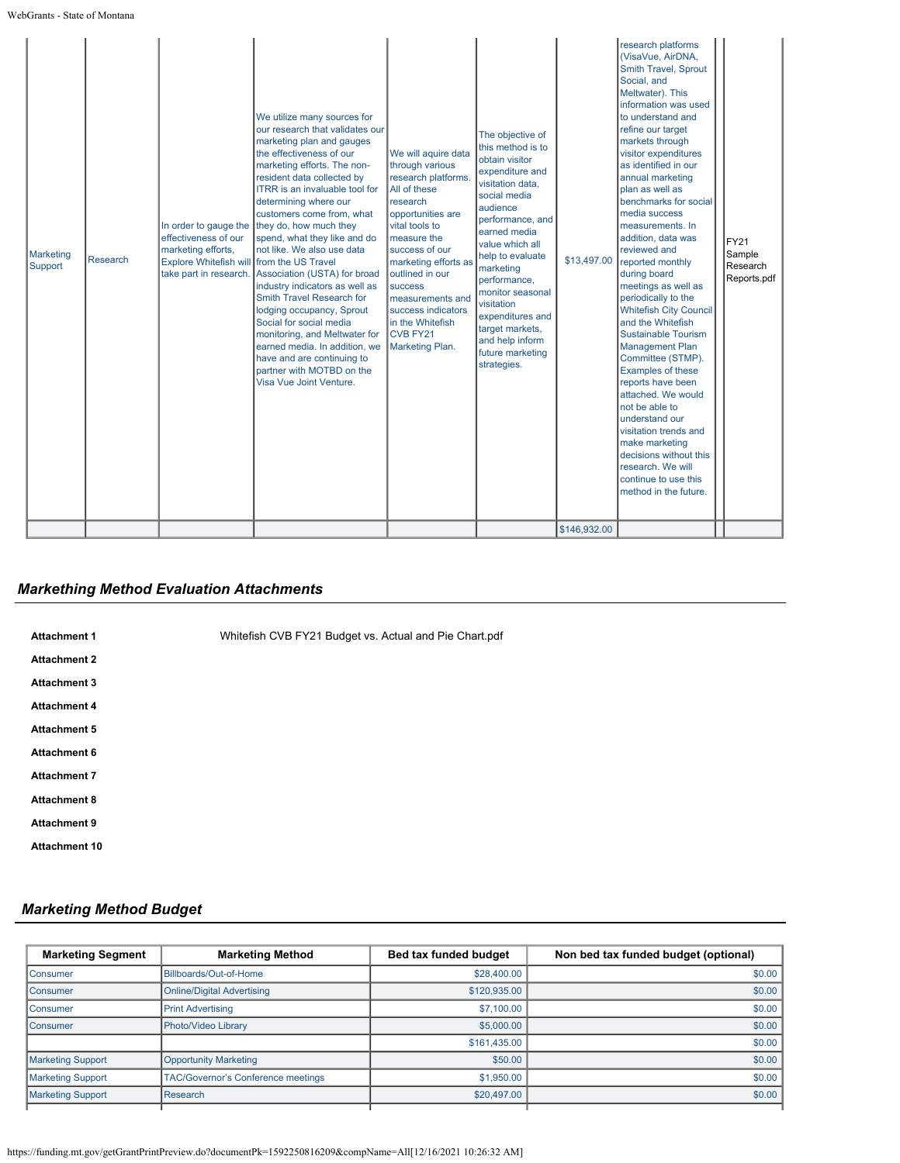| <b>Marketing</b><br>Support | Research | In order to gauge the<br>effectiveness of our<br>marketing efforts,<br>Explore Whitefish will from the US Travel<br>take part in research. | We utilize many sources for<br>our research that validates our<br>marketing plan and gauges<br>the effectiveness of our<br>marketing efforts. The non-<br>resident data collected by<br>ITRR is an invaluable tool for<br>determining where our<br>customers come from, what<br>they do, how much they<br>spend, what they like and do<br>not like. We also use data<br>Association (USTA) for broad<br>industry indicators as well as<br>Smith Travel Research for<br>lodging occupancy, Sprout<br>Social for social media<br>monitoring, and Meltwater for<br>earned media. In addition, we<br>have and are continuing to<br>partner with MOTBD on the<br>Visa Vue Joint Venture. | We will aquire data<br>through various<br>research platforms.<br>All of these<br>research<br>opportunities are<br>vital tools to<br>measure the<br>success of our<br>marketing efforts as<br>outlined in our<br><b>success</b><br>measurements and<br>success indicators<br>in the Whitefish<br>CVB FY21<br>Marketing Plan. | The objective of<br>this method is to<br>obtain visitor<br>expenditure and<br>visitation data,<br>social media<br>audience<br>performance, and<br>earned media<br>value which all<br>help to evaluate<br>marketing<br>performance,<br>monitor seasonal<br>visitation<br>expenditures and<br>target markets,<br>and help inform<br>future marketing<br>strategies. | \$13,497.00<br>\$146,932.00 | research platforms<br>(VisaVue, AirDNA,<br>Smith Travel, Sprout<br>Social, and<br>Meltwater). This<br>information was used<br>to understand and<br>refine our target<br>markets through<br>visitor expenditures<br>as identified in our<br>annual marketing<br>plan as well as<br>benchmarks for social<br>media success<br>measurements. In<br>addition, data was<br>reviewed and<br>reported monthly<br>during board<br>meetings as well as<br>periodically to the<br><b>Whitefish City Council</b><br>and the Whitefish<br><b>Sustainable Tourism</b><br><b>Management Plan</b><br>Committee (STMP).<br>Examples of these<br>reports have been<br>attached. We would<br>not be able to<br>understand our<br>visitation trends and<br>make marketing<br>decisions without this<br>research. We will<br>continue to use this<br>method in the future. | FY21<br>Sample<br>Research<br>Reports.pdf |
|-----------------------------|----------|--------------------------------------------------------------------------------------------------------------------------------------------|-------------------------------------------------------------------------------------------------------------------------------------------------------------------------------------------------------------------------------------------------------------------------------------------------------------------------------------------------------------------------------------------------------------------------------------------------------------------------------------------------------------------------------------------------------------------------------------------------------------------------------------------------------------------------------------|-----------------------------------------------------------------------------------------------------------------------------------------------------------------------------------------------------------------------------------------------------------------------------------------------------------------------------|-------------------------------------------------------------------------------------------------------------------------------------------------------------------------------------------------------------------------------------------------------------------------------------------------------------------------------------------------------------------|-----------------------------|--------------------------------------------------------------------------------------------------------------------------------------------------------------------------------------------------------------------------------------------------------------------------------------------------------------------------------------------------------------------------------------------------------------------------------------------------------------------------------------------------------------------------------------------------------------------------------------------------------------------------------------------------------------------------------------------------------------------------------------------------------------------------------------------------------------------------------------------------------|-------------------------------------------|
|-----------------------------|----------|--------------------------------------------------------------------------------------------------------------------------------------------|-------------------------------------------------------------------------------------------------------------------------------------------------------------------------------------------------------------------------------------------------------------------------------------------------------------------------------------------------------------------------------------------------------------------------------------------------------------------------------------------------------------------------------------------------------------------------------------------------------------------------------------------------------------------------------------|-----------------------------------------------------------------------------------------------------------------------------------------------------------------------------------------------------------------------------------------------------------------------------------------------------------------------------|-------------------------------------------------------------------------------------------------------------------------------------------------------------------------------------------------------------------------------------------------------------------------------------------------------------------------------------------------------------------|-----------------------------|--------------------------------------------------------------------------------------------------------------------------------------------------------------------------------------------------------------------------------------------------------------------------------------------------------------------------------------------------------------------------------------------------------------------------------------------------------------------------------------------------------------------------------------------------------------------------------------------------------------------------------------------------------------------------------------------------------------------------------------------------------------------------------------------------------------------------------------------------------|-------------------------------------------|

# *Markething Method Evaluation Attachments*

| <b>Attachment 1</b>  | Whitefish CVB FY21 Budget vs. Actual and Pie Chart.pdf |
|----------------------|--------------------------------------------------------|
| <b>Attachment 2</b>  |                                                        |
| <b>Attachment 3</b>  |                                                        |
| <b>Attachment 4</b>  |                                                        |
| <b>Attachment 5</b>  |                                                        |
| <b>Attachment 6</b>  |                                                        |
| <b>Attachment 7</b>  |                                                        |
| <b>Attachment 8</b>  |                                                        |
| <b>Attachment 9</b>  |                                                        |
| <b>Attachment 10</b> |                                                        |

# *Marketing Method Budget*

| <b>Marketing Segment</b> | <b>Marketing Method</b>                   | Bed tax funded budget | Non bed tax funded budget (optional) |  |
|--------------------------|-------------------------------------------|-----------------------|--------------------------------------|--|
| Consumer                 | Billboards/Out-of-Home                    | \$28,400.00           | \$0.00                               |  |
| Consumer                 | <b>Online/Digital Advertising</b>         | \$120,935.00          | \$0.00                               |  |
| Consumer                 | <b>Print Advertising</b>                  | \$7,100.00            | \$0.00                               |  |
| <b>Consumer</b>          | Photo/Video Library                       | \$5,000.00            | \$0.00                               |  |
|                          |                                           | \$161,435.00          | \$0.00                               |  |
| <b>Marketing Support</b> | <b>Opportunity Marketing</b>              | \$50.00               | \$0.00                               |  |
| <b>Marketing Support</b> | <b>TAC/Governor's Conference meetings</b> | \$1,950.00            | \$0.00                               |  |
| <b>Marketing Support</b> | <b>Research</b>                           | \$20,497.00           | \$0.00                               |  |
|                          |                                           |                       |                                      |  |

https://funding.mt.gov/getGrantPrintPreview.do?documentPk=1592250816209&compName=All[12/16/2021 10:26:32 AM]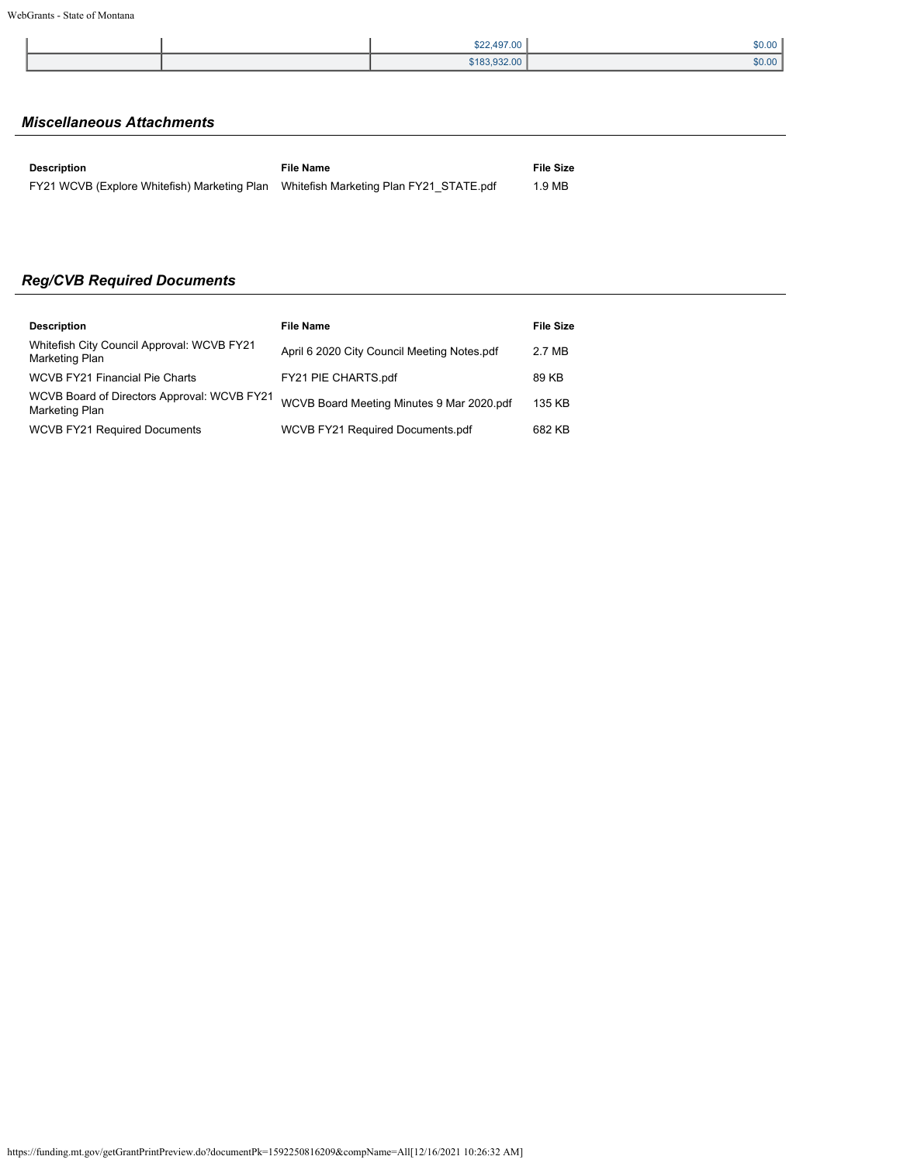|  | \$22,497.00  | \$0.00 |
|--|--------------|--------|
|  | \$183.932.00 | \$0.00 |

# *Miscellaneous Attachments*

| Description                                                                          | File Name | File Size |
|--------------------------------------------------------------------------------------|-----------|-----------|
| FY21 WCVB (Explore Whitefish) Marketing Plan Whitefish Marketing Plan FY21 STATE.pdf |           | 1.9 MB    |

# *Reg/CVB Required Documents*

| <b>Description</b>                                            | <b>File Name</b>                            | <b>File Size</b> |
|---------------------------------------------------------------|---------------------------------------------|------------------|
| Whitefish City Council Approval: WCVB FY21<br>Marketing Plan  | April 6 2020 City Council Meeting Notes.pdf | 2.7 MB           |
| WCVB FY21 Financial Pie Charts                                | FY21 PIE CHARTS.pdf                         | 89 KB            |
| WCVB Board of Directors Approval: WCVB FY21<br>Marketing Plan | WCVB Board Meeting Minutes 9 Mar 2020.pdf   | 135 KB           |
| <b>WCVB FY21 Required Documents</b>                           | WCVB FY21 Required Documents.pdf            | 682 KB           |